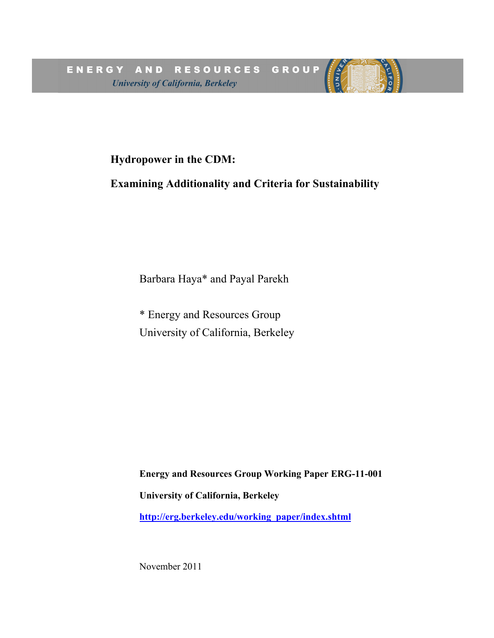

# **Hydropower in the CDM:**

# **Examining Additionality and Criteria for Sustainability**

Barbara Haya\* and Payal Parekh

\* Energy and Resources Group University of California, Berkeley

**Energy and Resources Group Working Paper ERG-11-001 University of California, Berkeley http://erg.berkeley.edu/working\_paper/index.shtml**

November 2011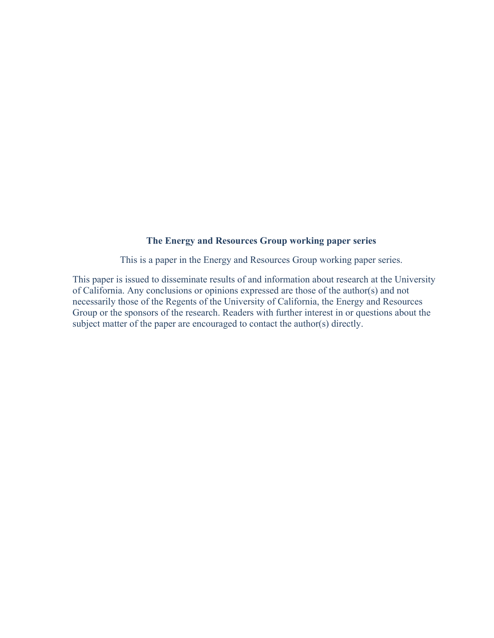#### **The Energy and Resources Group working paper series**

This is a paper in the Energy and Resources Group working paper series.

This paper is issued to disseminate results of and information about research at the University of California. Any conclusions or opinions expressed are those of the author(s) and not necessarily those of the Regents of the University of California, the Energy and Resources Group or the sponsors of the research. Readers with further interest in or questions about the subject matter of the paper are encouraged to contact the author(s) directly.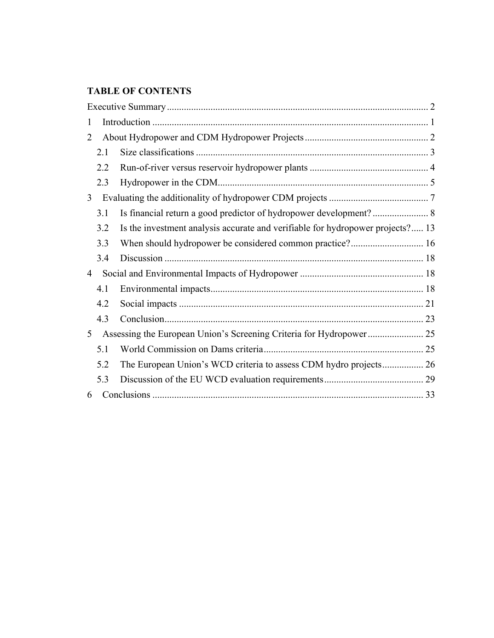# **TABLE OF CONTENTS**

| 1 |     |                                                                                |  |  |  |  |
|---|-----|--------------------------------------------------------------------------------|--|--|--|--|
| 2 |     |                                                                                |  |  |  |  |
|   | 2.1 |                                                                                |  |  |  |  |
|   | 2.2 |                                                                                |  |  |  |  |
|   | 2.3 |                                                                                |  |  |  |  |
| 3 |     |                                                                                |  |  |  |  |
|   | 3.1 |                                                                                |  |  |  |  |
|   | 3.2 | Is the investment analysis accurate and verifiable for hydropower projects? 13 |  |  |  |  |
|   | 3.3 |                                                                                |  |  |  |  |
|   | 3.4 |                                                                                |  |  |  |  |
| 4 |     |                                                                                |  |  |  |  |
|   | 4.1 |                                                                                |  |  |  |  |
|   | 4.2 |                                                                                |  |  |  |  |
|   | 4.3 |                                                                                |  |  |  |  |
| 5 |     |                                                                                |  |  |  |  |
|   | 5.1 |                                                                                |  |  |  |  |
|   | 5.2 |                                                                                |  |  |  |  |
|   | 5.3 |                                                                                |  |  |  |  |
| 6 |     |                                                                                |  |  |  |  |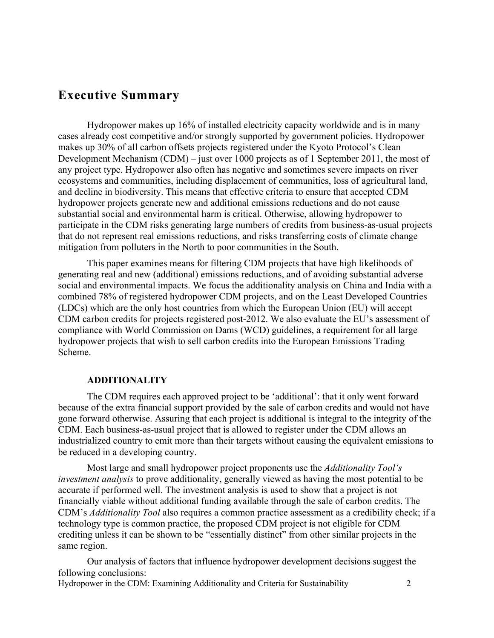# **Executive Summary**

Hydropower makes up 16% of installed electricity capacity worldwide and is in many cases already cost competitive and/or strongly supported by government policies. Hydropower makes up 30% of all carbon offsets projects registered under the Kyoto Protocol's Clean Development Mechanism (CDM) – just over 1000 projects as of 1 September 2011, the most of any project type. Hydropower also often has negative and sometimes severe impacts on river ecosystems and communities, including displacement of communities, loss of agricultural land, and decline in biodiversity. This means that effective criteria to ensure that accepted CDM hydropower projects generate new and additional emissions reductions and do not cause substantial social and environmental harm is critical. Otherwise, allowing hydropower to participate in the CDM risks generating large numbers of credits from business-as-usual projects that do not represent real emissions reductions, and risks transferring costs of climate change mitigation from polluters in the North to poor communities in the South.

This paper examines means for filtering CDM projects that have high likelihoods of generating real and new (additional) emissions reductions, and of avoiding substantial adverse social and environmental impacts. We focus the additionality analysis on China and India with a combined 78% of registered hydropower CDM projects, and on the Least Developed Countries (LDCs) which are the only host countries from which the European Union (EU) will accept CDM carbon credits for projects registered post-2012. We also evaluate the EU's assessment of compliance with World Commission on Dams (WCD) guidelines, a requirement for all large hydropower projects that wish to sell carbon credits into the European Emissions Trading Scheme.

#### **ADDITIONALITY**

The CDM requires each approved project to be 'additional': that it only went forward because of the extra financial support provided by the sale of carbon credits and would not have gone forward otherwise. Assuring that each project is additional is integral to the integrity of the CDM. Each business-as-usual project that is allowed to register under the CDM allows an industrialized country to emit more than their targets without causing the equivalent emissions to be reduced in a developing country.

Most large and small hydropower project proponents use the *Additionality Tool's investment analysis* to prove additionality, generally viewed as having the most potential to be accurate if performed well. The investment analysis is used to show that a project is not financially viable without additional funding available through the sale of carbon credits. The CDM's *Additionality Tool* also requires a common practice assessment as a credibility check; if a technology type is common practice, the proposed CDM project is not eligible for CDM crediting unless it can be shown to be "essentially distinct" from other similar projects in the same region.

Hydropower in the CDM: Examining Additionality and Criteria for Sustainability 2 Our analysis of factors that influence hydropower development decisions suggest the following conclusions: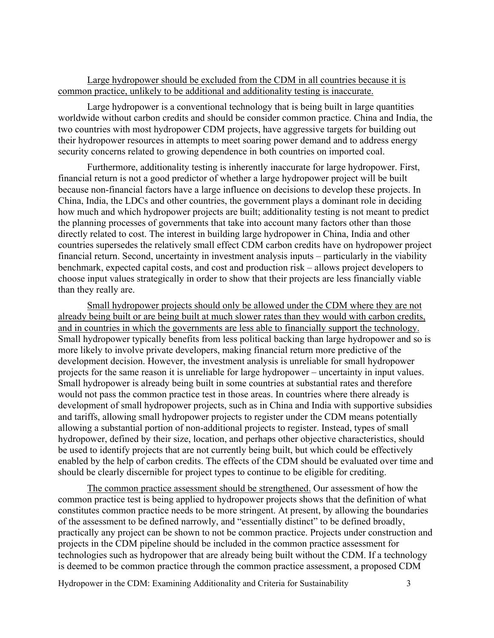## Large hydropower should be excluded from the CDM in all countries because it is common practice, unlikely to be additional and additionality testing is inaccurate.

Large hydropower is a conventional technology that is being built in large quantities worldwide without carbon credits and should be consider common practice. China and India, the two countries with most hydropower CDM projects, have aggressive targets for building out their hydropower resources in attempts to meet soaring power demand and to address energy security concerns related to growing dependence in both countries on imported coal.

Furthermore, additionality testing is inherently inaccurate for large hydropower. First, financial return is not a good predictor of whether a large hydropower project will be built because non-financial factors have a large influence on decisions to develop these projects. In China, India, the LDCs and other countries, the government plays a dominant role in deciding how much and which hydropower projects are built; additionality testing is not meant to predict the planning processes of governments that take into account many factors other than those directly related to cost. The interest in building large hydropower in China, India and other countries supersedes the relatively small effect CDM carbon credits have on hydropower project financial return. Second, uncertainty in investment analysis inputs – particularly in the viability benchmark, expected capital costs, and cost and production risk – allows project developers to choose input values strategically in order to show that their projects are less financially viable than they really are.

Small hydropower projects should only be allowed under the CDM where they are not already being built or are being built at much slower rates than they would with carbon credits, and in countries in which the governments are less able to financially support the technology. Small hydropower typically benefits from less political backing than large hydropower and so is more likely to involve private developers, making financial return more predictive of the development decision. However, the investment analysis is unreliable for small hydropower projects for the same reason it is unreliable for large hydropower – uncertainty in input values. Small hydropower is already being built in some countries at substantial rates and therefore would not pass the common practice test in those areas. In countries where there already is development of small hydropower projects, such as in China and India with supportive subsidies and tariffs, allowing small hydropower projects to register under the CDM means potentially allowing a substantial portion of non-additional projects to register. Instead, types of small hydropower, defined by their size, location, and perhaps other objective characteristics, should be used to identify projects that are not currently being built, but which could be effectively enabled by the help of carbon credits. The effects of the CDM should be evaluated over time and should be clearly discernible for project types to continue to be eligible for crediting.

The common practice assessment should be strengthened. Our assessment of how the common practice test is being applied to hydropower projects shows that the definition of what constitutes common practice needs to be more stringent. At present, by allowing the boundaries of the assessment to be defined narrowly, and "essentially distinct" to be defined broadly, practically any project can be shown to not be common practice. Projects under construction and projects in the CDM pipeline should be included in the common practice assessment for technologies such as hydropower that are already being built without the CDM. If a technology is deemed to be common practice through the common practice assessment, a proposed CDM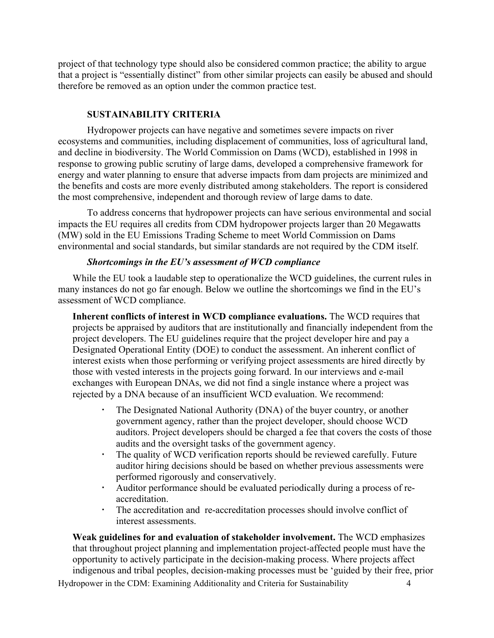project of that technology type should also be considered common practice; the ability to argue that a project is "essentially distinct" from other similar projects can easily be abused and should therefore be removed as an option under the common practice test.

#### **SUSTAINABILITY CRITERIA**

Hydropower projects can have negative and sometimes severe impacts on river ecosystems and communities, including displacement of communities, loss of agricultural land, and decline in biodiversity. The World Commission on Dams (WCD), established in 1998 in response to growing public scrutiny of large dams, developed a comprehensive framework for energy and water planning to ensure that adverse impacts from dam projects are minimized and the benefits and costs are more evenly distributed among stakeholders. The report is considered the most comprehensive, independent and thorough review of large dams to date.

To address concerns that hydropower projects can have serious environmental and social impacts the EU requires all credits from CDM hydropower projects larger than 20 Megawatts (MW) sold in the EU Emissions Trading Scheme to meet World Commission on Dams environmental and social standards, but similar standards are not required by the CDM itself.

#### *Shortcomings in the EU's assessment of WCD compliance*

While the EU took a laudable step to operationalize the WCD guidelines, the current rules in many instances do not go far enough. Below we outline the shortcomings we find in the EU's assessment of WCD compliance.

**Inherent conflicts of interest in WCD compliance evaluations.** The WCD requires that projects be appraised by auditors that are institutionally and financially independent from the project developers. The EU guidelines require that the project developer hire and pay a Designated Operational Entity (DOE) to conduct the assessment. An inherent conflict of interest exists when those performing or verifying project assessments are hired directly by those with vested interests in the projects going forward. In our interviews and e-mail exchanges with European DNAs, we did not find a single instance where a project was rejected by a DNA because of an insufficient WCD evaluation. We recommend:

- The Designated National Authority (DNA) of the buyer country, or another government agency, rather than the project developer, should choose WCD auditors. Project developers should be charged a fee that covers the costs of those audits and the oversight tasks of the government agency.
- The quality of WCD verification reports should be reviewed carefully. Future auditor hiring decisions should be based on whether previous assessments were performed rigorously and conservatively.
- Auditor performance should be evaluated periodically during a process of reaccreditation.
- The accreditation and re-accreditation processes should involve conflict of interest assessments.

Hydropower in the CDM: Examining Additionality and Criteria for Sustainability 4 **Weak guidelines for and evaluation of stakeholder involvement.** The WCD emphasizes that throughout project planning and implementation project-affected people must have the opportunity to actively participate in the decision-making process. Where projects affect indigenous and tribal peoples, decision-making processes must be 'guided by their free, prior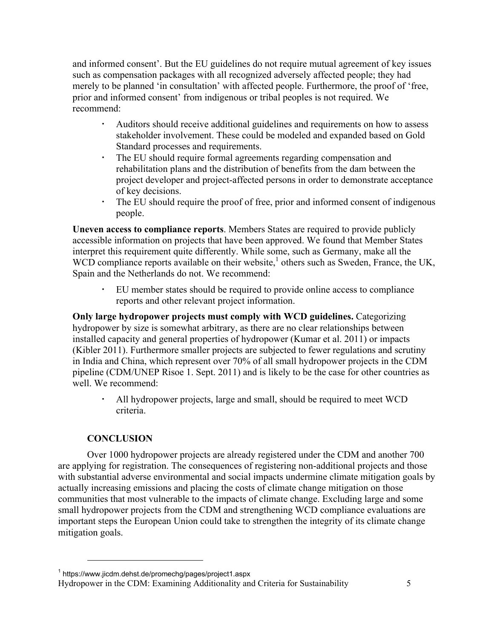and informed consent'. But the EU guidelines do not require mutual agreement of key issues such as compensation packages with all recognized adversely affected people; they had merely to be planned 'in consultation' with affected people. Furthermore, the proof of 'free, prior and informed consent' from indigenous or tribal peoples is not required. We recommend:

- Auditors should receive additional guidelines and requirements on how to assess stakeholder involvement. These could be modeled and expanded based on Gold Standard processes and requirements.
- The EU should require formal agreements regarding compensation and rehabilitation plans and the distribution of benefits from the dam between the project developer and project-affected persons in order to demonstrate acceptance of key decisions.
- The EU should require the proof of free, prior and informed consent of indigenous people.

**Uneven access to compliance reports**. Members States are required to provide publicly accessible information on projects that have been approved. We found that Member States interpret this requirement quite differently. While some, such as Germany, make all the WCD compliance reports available on their website,<sup>1</sup> others such as Sweden, France, the UK, Spain and the Netherlands do not. We recommend:

 EU member states should be required to provide online access to compliance reports and other relevant project information.

**Only large hydropower projects must comply with WCD guidelines.** Categorizing hydropower by size is somewhat arbitrary, as there are no clear relationships between installed capacity and general properties of hydropower (Kumar et al. 2011) or impacts (Kibler 2011). Furthermore smaller projects are subjected to fewer regulations and scrutiny in India and China, which represent over 70% of all small hydropower projects in the CDM pipeline (CDM/UNEP Risoe 1. Sept. 2011) and is likely to be the case for other countries as well. We recommend:

 All hydropower projects, large and small, should be required to meet WCD criteria.

## **CONCLUSION**

 $\overline{a}$ 

Over 1000 hydropower projects are already registered under the CDM and another 700 are applying for registration. The consequences of registering non-additional projects and those with substantial adverse environmental and social impacts undermine climate mitigation goals by actually increasing emissions and placing the costs of climate change mitigation on those communities that most vulnerable to the impacts of climate change. Excluding large and some small hydropower projects from the CDM and strengthening WCD compliance evaluations are important steps the European Union could take to strengthen the integrity of its climate change mitigation goals.

Hydropower in the CDM: Examining Additionality and Criteria for Sustainability 5 1 https://www.jicdm.dehst.de/promechg/pages/project1.aspx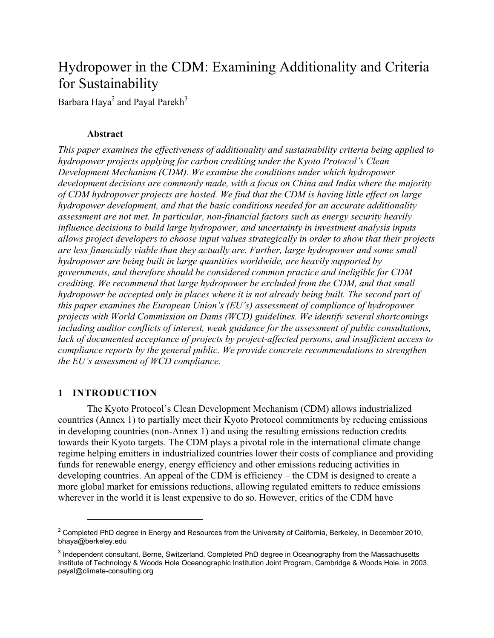# Hydropower in the CDM: Examining Additionality and Criteria for Sustainability

Barbara Haya<sup>2</sup> and Payal Parekh<sup>3</sup>

#### **Abstract**

*This paper examines the effectiveness of additionality and sustainability criteria being applied to hydropower projects applying for carbon crediting under the Kyoto Protocol's Clean Development Mechanism (CDM). We examine the conditions under which hydropower development decisions are commonly made, with a focus on China and India where the majority of CDM hydropower projects are hosted. We find that the CDM is having little effect on large hydropower development, and that the basic conditions needed for an accurate additionality assessment are not met. In particular, non-financial factors such as energy security heavily influence decisions to build large hydropower, and uncertainty in investment analysis inputs allows project developers to choose input values strategically in order to show that their projects are less financially viable than they actually are. Further, large hydropower and some small hydropower are being built in large quantities worldwide, are heavily supported by governments, and therefore should be considered common practice and ineligible for CDM crediting. We recommend that large hydropower be excluded from the CDM, and that small hydropower be accepted only in places where it is not already being built. The second part of this paper examines the European Union's (EU's) assessment of compliance of hydropower projects with World Commission on Dams (WCD) guidelines. We identify several shortcomings including auditor conflicts of interest, weak guidance for the assessment of public consultations, lack of documented acceptance of projects by project-affected persons, and insufficient access to compliance reports by the general public. We provide concrete recommendations to strengthen the EU's assessment of WCD compliance.*

## **1 INTRODUCTION**

 $\overline{a}$ 

The Kyoto Protocol's Clean Development Mechanism (CDM) allows industrialized countries (Annex 1) to partially meet their Kyoto Protocol commitments by reducing emissions in developing countries (non-Annex 1) and using the resulting emissions reduction credits towards their Kyoto targets. The CDM plays a pivotal role in the international climate change regime helping emitters in industrialized countries lower their costs of compliance and providing funds for renewable energy, energy efficiency and other emissions reducing activities in developing countries. An appeal of the CDM is efficiency – the CDM is designed to create a more global market for emissions reductions, allowing regulated emitters to reduce emissions wherever in the world it is least expensive to do so. However, critics of the CDM have

 $2$  Completed PhD degree in Energy and Resources from the University of California, Berkeley, in December 2010, bhaya@berkeley.edu

 $3$  Independent consultant, Berne, Switzerland. Completed PhD degree in Oceanography from the Massachusetts Institute of Technology & Woods Hole Oceanographic Institution Joint Program, Cambridge & Woods Hole, in 2003. payal@climate-consulting.org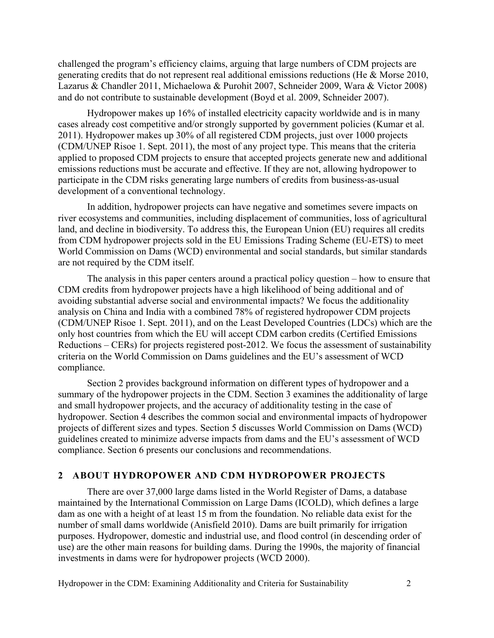challenged the program's efficiency claims, arguing that large numbers of CDM projects are generating credits that do not represent real additional emissions reductions (He & Morse 2010, Lazarus & Chandler 2011, Michaelowa & Purohit 2007, Schneider 2009, Wara & Victor 2008) and do not contribute to sustainable development (Boyd et al. 2009, Schneider 2007).

Hydropower makes up 16% of installed electricity capacity worldwide and is in many cases already cost competitive and/or strongly supported by government policies (Kumar et al. 2011). Hydropower makes up 30% of all registered CDM projects, just over 1000 projects (CDM/UNEP Risoe 1. Sept. 2011), the most of any project type. This means that the criteria applied to proposed CDM projects to ensure that accepted projects generate new and additional emissions reductions must be accurate and effective. If they are not, allowing hydropower to participate in the CDM risks generating large numbers of credits from business-as-usual development of a conventional technology.

In addition, hydropower projects can have negative and sometimes severe impacts on river ecosystems and communities, including displacement of communities, loss of agricultural land, and decline in biodiversity. To address this, the European Union (EU) requires all credits from CDM hydropower projects sold in the EU Emissions Trading Scheme (EU-ETS) to meet World Commission on Dams (WCD) environmental and social standards, but similar standards are not required by the CDM itself.

The analysis in this paper centers around a practical policy question – how to ensure that CDM credits from hydropower projects have a high likelihood of being additional and of avoiding substantial adverse social and environmental impacts? We focus the additionality analysis on China and India with a combined 78% of registered hydropower CDM projects (CDM/UNEP Risoe 1. Sept. 2011), and on the Least Developed Countries (LDCs) which are the only host countries from which the EU will accept CDM carbon credits (Certified Emissions Reductions – CERs) for projects registered post-2012. We focus the assessment of sustainability criteria on the World Commission on Dams guidelines and the EU's assessment of WCD compliance.

Section 2 provides background information on different types of hydropower and a summary of the hydropower projects in the CDM. Section 3 examines the additionality of large and small hydropower projects, and the accuracy of additionality testing in the case of hydropower. Section 4 describes the common social and environmental impacts of hydropower projects of different sizes and types. Section 5 discusses World Commission on Dams (WCD) guidelines created to minimize adverse impacts from dams and the EU's assessment of WCD compliance. Section 6 presents our conclusions and recommendations.

#### **2 ABOUT HYDROPOWER AND CDM HYDROPOWER PROJECTS**

There are over 37,000 large dams listed in the World Register of Dams, a database maintained by the International Commission on Large Dams (ICOLD), which defines a large dam as one with a height of at least 15 m from the foundation. No reliable data exist for the number of small dams worldwide (Anisfield 2010). Dams are built primarily for irrigation purposes. Hydropower, domestic and industrial use, and flood control (in descending order of use) are the other main reasons for building dams. During the 1990s, the majority of financial investments in dams were for hydropower projects (WCD 2000).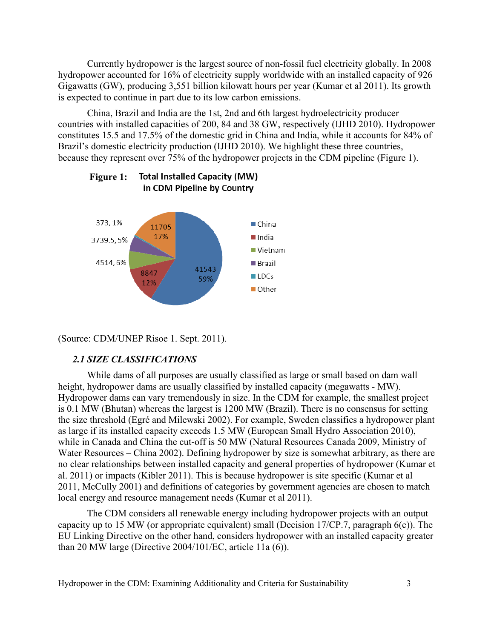Currently hydropower is the largest source of non-fossil fuel electricity globally. In 2008 hydropower accounted for 16% of electricity supply worldwide with an installed capacity of 926 Gigawatts (GW), producing 3,551 billion kilowatt hours per year (Kumar et al 2011). Its growth is expected to continue in part due to its low carbon emissions.

China, Brazil and India are the 1st, 2nd and 6th largest hydroelectricity producer countries with installed capacities of 200, 84 and 38 GW, respectively (IJHD 2010). Hydropower constitutes 15.5 and 17.5% of the domestic grid in China and India, while it accounts for 84% of Brazil's domestic electricity production (IJHD 2010). We highlight these three countries, because they represent over 75% of the hydropower projects in the CDM pipeline (Figure 1).



**Total Installed Capacity (MW) Figure 1:** in CDM Pipeline by Country

(Source: CDM/UNEP Risoe 1. Sept. 2011).

## *2.1 SIZE CLASSIFICATIONS*

While dams of all purposes are usually classified as large or small based on dam wall height, hydropower dams are usually classified by installed capacity (megawatts - MW). Hydropower dams can vary tremendously in size. In the CDM for example, the smallest project is 0.1 MW (Bhutan) whereas the largest is 1200 MW (Brazil). There is no consensus for setting the size threshold (Egré and Milewski 2002). For example, Sweden classifies a hydropower plant as large if its installed capacity exceeds 1.5 MW (European Small Hydro Association 2010), while in Canada and China the cut-off is 50 MW (Natural Resources Canada 2009, Ministry of Water Resources – China 2002). Defining hydropower by size is somewhat arbitrary, as there are no clear relationships between installed capacity and general properties of hydropower (Kumar et al. 2011) or impacts (Kibler 2011). This is because hydropower is site specific (Kumar et al 2011, McCully 2001) and definitions of categories by government agencies are chosen to match local energy and resource management needs (Kumar et al 2011).

The CDM considers all renewable energy including hydropower projects with an output capacity up to 15 MW (or appropriate equivalent) small (Decision 17/CP.7, paragraph 6(c)). The EU Linking Directive on the other hand, considers hydropower with an installed capacity greater than 20 MW large (Directive 2004/101/EC, article 11a (6)).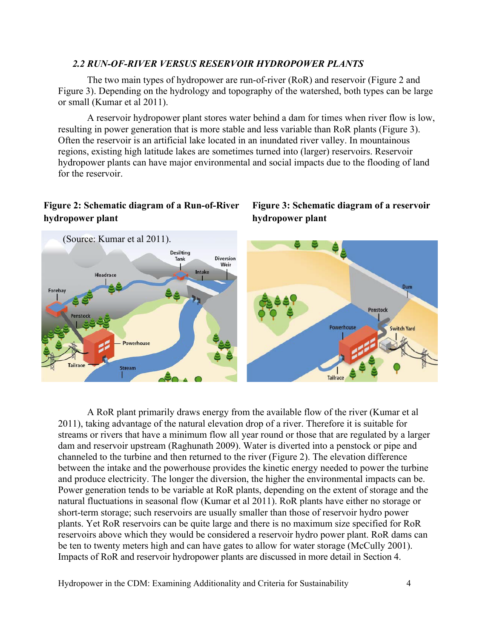## *2.2 RUN-OF-RIVER VERSUS RESERVOIR HYDROPOWER PLANTS*

The two main types of hydropower are run-of-river (RoR) and reservoir (Figure 2 and Figure 3). Depending on the hydrology and topography of the watershed, both types can be large or small (Kumar et al 2011).

A reservoir hydropower plant stores water behind a dam for times when river flow is low, resulting in power generation that is more stable and less variable than RoR plants (Figure 3). Often the reservoir is an artificial lake located in an inundated river valley. In mountainous regions, existing high latitude lakes are sometimes turned into (larger) reservoirs. Reservoir hydropower plants can have major environmental and social impacts due to the flooding of land for the reservoir.

## **Figure 2: Schematic diagram of a Run-of-River hydropower plant**



A RoR plant primarily draws energy from the available flow of the river (Kumar et al 2011), taking advantage of the natural elevation drop of a river. Therefore it is suitable for streams or rivers that have a minimum flow all year round or those that are regulated by a larger dam and reservoir upstream (Raghunath 2009). Water is diverted into a penstock or pipe and channeled to the turbine and then returned to the river (Figure 2). The elevation difference between the intake and the powerhouse provides the kinetic energy needed to power the turbine and produce electricity. The longer the diversion, the higher the environmental impacts can be. Power generation tends to be variable at RoR plants, depending on the extent of storage and the natural fluctuations in seasonal flow (Kumar et al 2011). RoR plants have either no storage or short-term storage; such reservoirs are usually smaller than those of reservoir hydro power plants. Yet RoR reservoirs can be quite large and there is no maximum size specified for RoR reservoirs above which they would be considered a reservoir hydro power plant. RoR dams can be ten to twenty meters high and can have gates to allow for water storage (McCully 2001). Impacts of RoR and reservoir hydropower plants are discussed in more detail in Section 4.

Hydropower in the CDM: Examining Additionality and Criteria for Sustainability 4

## **Figure 3: Schematic diagram of a reservoir hydropower plant**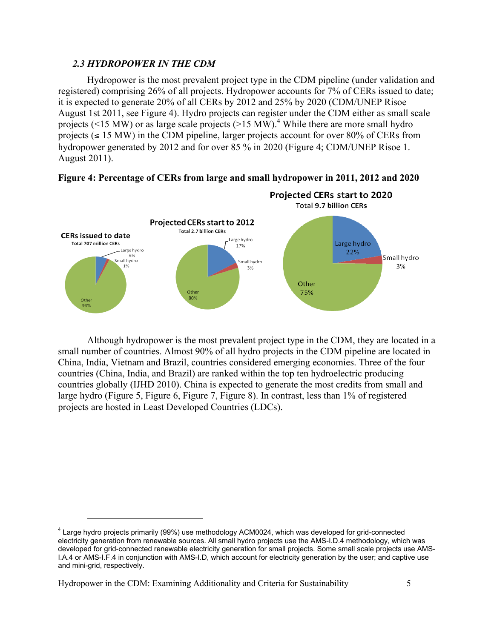## *2.3 HYDROPOWER IN THE CDM*

Hydropower is the most prevalent project type in the CDM pipeline (under validation and registered) comprising 26% of all projects. Hydropower accounts for 7% of CERs issued to date; it is expected to generate 20% of all CERs by 2012 and 25% by 2020 (CDM/UNEP Risoe August 1st 2011, see Figure 4). Hydro projects can register under the CDM either as small scale projects (<15 MW) or as large scale projects (>15 MW).<sup>4</sup> While there are more small hydro projects ( $\leq$  15 MW) in the CDM pipeline, larger projects account for over 80% of CERs from hydropower generated by 2012 and for over 85 % in 2020 (Figure 4; CDM/UNEP Risoe 1. August 2011).



#### **Figure 4: Percentage of CERs from large and small hydropower in 2011, 2012 and 2020**

Although hydropower is the most prevalent project type in the CDM, they are located in a small number of countries. Almost 90% of all hydro projects in the CDM pipeline are located in China, India, Vietnam and Brazil, countries considered emerging economies. Three of the four countries (China, India, and Brazil) are ranked within the top ten hydroelectric producing countries globally (IJHD 2010). China is expected to generate the most credits from small and large hydro (Figure 5, Figure 6, Figure 7, Figure 8). In contrast, less than 1% of registered projects are hosted in Least Developed Countries (LDCs).

Hydropower in the CDM: Examining Additionality and Criteria for Sustainability 5

<sup>&</sup>lt;sup>4</sup> Large hydro projects primarily (99%) use methodology ACM0024, which was developed for grid-connected electricity generation from renewable sources. All small hydro projects use the AMS-I.D.4 methodology, which was developed for grid-connected renewable electricity generation for small projects. Some small scale projects use AMS-I.A.4 or AMS-I.F.4 in conjunction with AMS-I.D, which account for electricity generation by the user; and captive use and mini-grid, respectively.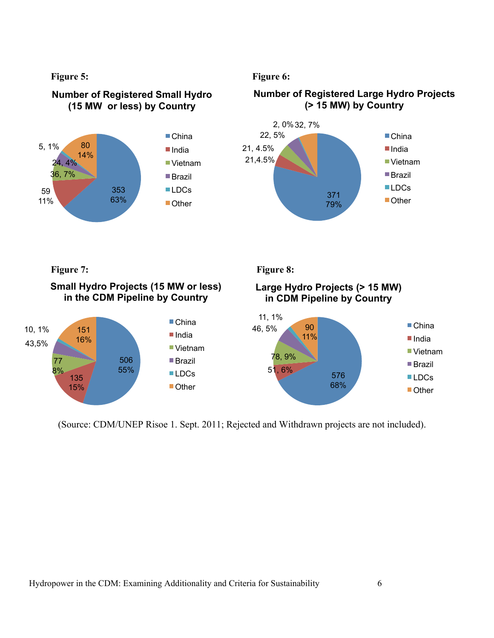

(Source: CDM/UNEP Risoe 1. Sept. 2011; Rejected and Withdrawn projects are not included).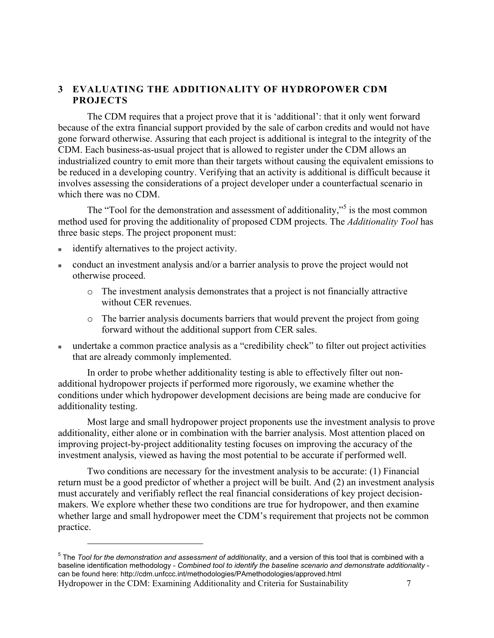## **3 EVALUATING THE ADDITIONALITY OF HYDROPOWER CDM PROJECTS**

The CDM requires that a project prove that it is 'additional': that it only went forward because of the extra financial support provided by the sale of carbon credits and would not have gone forward otherwise. Assuring that each project is additional is integral to the integrity of the CDM. Each business-as-usual project that is allowed to register under the CDM allows an industrialized country to emit more than their targets without causing the equivalent emissions to be reduced in a developing country. Verifying that an activity is additional is difficult because it involves assessing the considerations of a project developer under a counterfactual scenario in which there was no CDM.

The "Tool for the demonstration and assessment of additionality," is the most common method used for proving the additionality of proposed CDM projects. The *Additionality Tool* has three basic steps. The project proponent must:

identify alternatives to the project activity.

 $\overline{a}$ 

- conduct an investment analysis and/or a barrier analysis to prove the project would not otherwise proceed.
	- o The investment analysis demonstrates that a project is not financially attractive without CER revenues.
	- o The barrier analysis documents barriers that would prevent the project from going forward without the additional support from CER sales.
- undertake a common practice analysis as a "credibility check" to filter out project activities that are already commonly implemented.

In order to probe whether additionality testing is able to effectively filter out nonadditional hydropower projects if performed more rigorously, we examine whether the conditions under which hydropower development decisions are being made are conducive for additionality testing.

Most large and small hydropower project proponents use the investment analysis to prove additionality, either alone or in combination with the barrier analysis. Most attention placed on improving project-by-project additionality testing focuses on improving the accuracy of the investment analysis, viewed as having the most potential to be accurate if performed well.

Two conditions are necessary for the investment analysis to be accurate: (1) Financial return must be a good predictor of whether a project will be built. And (2) an investment analysis must accurately and verifiably reflect the real financial considerations of key project decisionmakers. We explore whether these two conditions are true for hydropower, and then examine whether large and small hydropower meet the CDM's requirement that projects not be common practice.

Hydropower in the CDM: Examining Additionality and Criteria for Sustainability 7 5 The *Tool for the demonstration and assessment of additionality*, and a version of this tool that is combined with a baseline identification methodology - *Combined tool to identify the baseline scenario and demonstrate additionality* can be found here: http://cdm.unfccc.int/methodologies/PAmethodologies/approved.html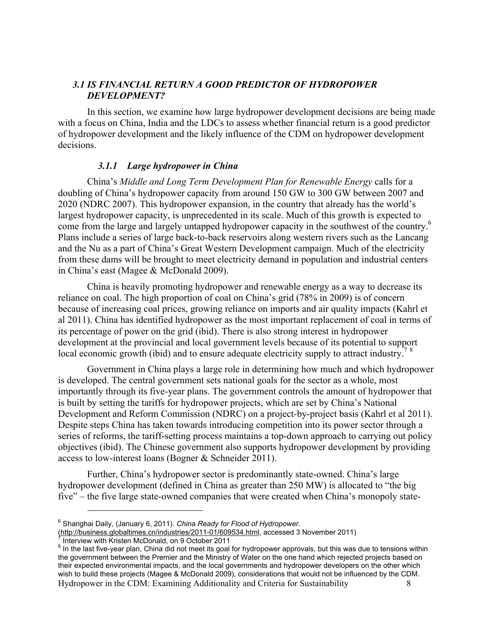## *3.1 IS FINANCIAL RETURN A GOOD PREDICTOR OF HYDROPOWER DEVELOPMENT?*

In this section, we examine how large hydropower development decisions are being made with a focus on China, India and the LDCs to assess whether financial return is a good predictor of hydropower development and the likely influence of the CDM on hydropower development decisions.

#### *3.1.1 Large hydropower in China*

China's *Middle and Long Term Development Plan for Renewable Energy* calls for a doubling of China's hydropower capacity from around 150 GW to 300 GW between 2007 and 2020 (NDRC 2007). This hydropower expansion, in the country that already has the world's largest hydropower capacity, is unprecedented in its scale. Much of this growth is expected to come from the large and largely untapped hydropower capacity in the southwest of the country. 6 Plans include a series of large back-to-back reservoirs along western rivers such as the Lancang and the Nu as a part of China's Great Western Development campaign. Much of the electricity from these dams will be brought to meet electricity demand in population and industrial centers in China's east (Magee & McDonald 2009).

China is heavily promoting hydropower and renewable energy as a way to decrease its reliance on coal. The high proportion of coal on China's grid (78% in 2009) is of concern because of increasing coal prices, growing reliance on imports and air quality impacts (Kahrl et al 2011). China has identified hydropower as the most important replacement of coal in terms of its percentage of power on the grid (ibid). There is also strong interest in hydropower development at the provincial and local government levels because of its potential to support local economic growth (ibid) and to ensure adequate electricity supply to attract industry.<sup>78</sup>

Government in China plays a large role in determining how much and which hydropower is developed. The central government sets national goals for the sector as a whole, most importantly through its five-year plans. The government controls the amount of hydropower that is built by setting the tariffs for hydropower projects, which are set by China's National Development and Reform Commission (NDRC) on a project-by-project basis (Kahrl et al 2011). Despite steps China has taken towards introducing competition into its power sector through a series of reforms, the tariff-setting process maintains a top-down approach to carrying out policy objectives (ibid). The Chinese government also supports hydropower development by providing access to low-interest loans (Bogner & Schneider 2011).

Further, China's hydropower sector is predominantly state-owned. China's large hydropower development (defined in China as greater than 250 MW) is allocated to "the big five" – the five large state-owned companies that were created when China's monopoly state-

<sup>6</sup> Shanghai Daily, (January 6, 2011). *China Ready for Flood of Hydropower.* 

<sup>(&</sup>lt;u>http://business.globaltimes.cn/industries/2011-01/609534.html</u>, accessed 3 November 2011)<br><sup>7</sup> Interview with Kristen McDonald, on 9 October 2011

Hydropower in the CDM: Examining Additionality and Criteria for Sustainability 8  $^8$  In the last five-year plan, China did not meet its goal for hydropower approvals, but this was due to tensions within the government between the Premier and the Ministry of Water on the one hand which rejected projects based on their expected environmental impacts, and the local governments and hydropower developers on the other which wish to build these projects (Magee & McDonald 2009), considerations that would not be influenced by the CDM.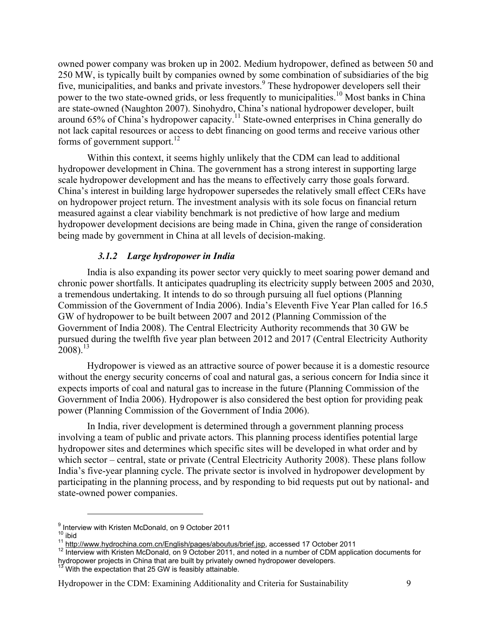owned power company was broken up in 2002. Medium hydropower, defined as between 50 and 250 MW, is typically built by companies owned by some combination of subsidiaries of the big five, municipalities, and banks and private investors.<sup>9</sup> These hydropower developers sell their power to the two state-owned grids, or less frequently to municipalities.<sup>10</sup> Most banks in China are state-owned (Naughton 2007). Sinohydro, China's national hydropower developer, built around 65% of China's hydropower capacity.11 State-owned enterprises in China generally do not lack capital resources or access to debt financing on good terms and receive various other forms of government support. $^{12}$ 

Within this context, it seems highly unlikely that the CDM can lead to additional hydropower development in China. The government has a strong interest in supporting large scale hydropower development and has the means to effectively carry those goals forward. China's interest in building large hydropower supersedes the relatively small effect CERs have on hydropower project return. The investment analysis with its sole focus on financial return measured against a clear viability benchmark is not predictive of how large and medium hydropower development decisions are being made in China, given the range of consideration being made by government in China at all levels of decision-making.

#### *3.1.2 Large hydropower in India*

India is also expanding its power sector very quickly to meet soaring power demand and chronic power shortfalls. It anticipates quadrupling its electricity supply between 2005 and 2030, a tremendous undertaking. It intends to do so through pursuing all fuel options (Planning Commission of the Government of India 2006). India's Eleventh Five Year Plan called for 16.5 GW of hydropower to be built between 2007 and 2012 (Planning Commission of the Government of India 2008). The Central Electricity Authority recommends that 30 GW be pursued during the twelfth five year plan between 2012 and 2017 (Central Electricity Authority  $2008$ ).<sup>13</sup>

Hydropower is viewed as an attractive source of power because it is a domestic resource without the energy security concerns of coal and natural gas, a serious concern for India since it expects imports of coal and natural gas to increase in the future (Planning Commission of the Government of India 2006). Hydropower is also considered the best option for providing peak power (Planning Commission of the Government of India 2006).

In India, river development is determined through a government planning process involving a team of public and private actors. This planning process identifies potential large hydropower sites and determines which specific sites will be developed in what order and by which sector – central, state or private (Central Electricity Authority 2008). These plans follow India's five-year planning cycle. The private sector is involved in hydropower development by participating in the planning process, and by responding to bid requests put out by national- and state-owned power companies.

<sup>&</sup>lt;sup>9</sup> Interview with Kristen McDonald, on 9 October 2011

<sup>&</sup>lt;sup>11</sup> http://www.hydrochina.com.cn/English/pages/aboutus/brief.jsp, accessed 17 October 2011<br><sup>12</sup> Interview with Kristen McDonald, on 9 October 2011, and noted in a number of CDM application documents for

hydropower projects in China that are built by privately owned hydropower developers.

 $13$  With the expectation that 25 GW is feasibly attainable.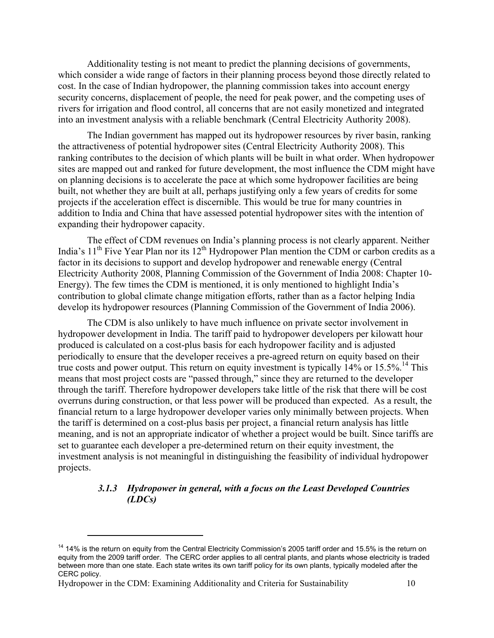Additionality testing is not meant to predict the planning decisions of governments, which consider a wide range of factors in their planning process beyond those directly related to cost. In the case of Indian hydropower, the planning commission takes into account energy security concerns, displacement of people, the need for peak power, and the competing uses of rivers for irrigation and flood control, all concerns that are not easily monetized and integrated into an investment analysis with a reliable benchmark (Central Electricity Authority 2008).

The Indian government has mapped out its hydropower resources by river basin, ranking the attractiveness of potential hydropower sites (Central Electricity Authority 2008). This ranking contributes to the decision of which plants will be built in what order. When hydropower sites are mapped out and ranked for future development, the most influence the CDM might have on planning decisions is to accelerate the pace at which some hydropower facilities are being built, not whether they are built at all, perhaps justifying only a few years of credits for some projects if the acceleration effect is discernible. This would be true for many countries in addition to India and China that have assessed potential hydropower sites with the intention of expanding their hydropower capacity.

The effect of CDM revenues on India's planning process is not clearly apparent. Neither India's  $11<sup>th</sup>$  Five Year Plan nor its  $12<sup>th</sup>$  Hydropower Plan mention the CDM or carbon credits as a factor in its decisions to support and develop hydropower and renewable energy (Central Electricity Authority 2008, Planning Commission of the Government of India 2008: Chapter 10- Energy). The few times the CDM is mentioned, it is only mentioned to highlight India's contribution to global climate change mitigation efforts, rather than as a factor helping India develop its hydropower resources (Planning Commission of the Government of India 2006).

The CDM is also unlikely to have much influence on private sector involvement in hydropower development in India. The tariff paid to hydropower developers per kilowatt hour produced is calculated on a cost-plus basis for each hydropower facility and is adjusted periodically to ensure that the developer receives a pre-agreed return on equity based on their true costs and power output. This return on equity investment is typically  $14\%$  or  $15.5\%$ <sup>14</sup> This means that most project costs are "passed through," since they are returned to the developer through the tariff. Therefore hydropower developers take little of the risk that there will be cost overruns during construction, or that less power will be produced than expected. As a result, the financial return to a large hydropower developer varies only minimally between projects. When the tariff is determined on a cost-plus basis per project, a financial return analysis has little meaning, and is not an appropriate indicator of whether a project would be built. Since tariffs are set to guarantee each developer a pre-determined return on their equity investment, the investment analysis is not meaningful in distinguishing the feasibility of individual hydropower projects.

## *3.1.3 Hydropower in general, with a focus on the Least Developed Countries (LDCs)*

Hydropower in the CDM: Examining Additionality and Criteria for Sustainability 10

<sup>&</sup>lt;sup>14</sup> 14% is the return on equity from the Central Electricity Commission's 2005 tariff order and 15.5% is the return on equity from the 2009 tariff order. The CERC order applies to all central plants, and plants whose electricity is traded between more than one state. Each state writes its own tariff policy for its own plants, typically modeled after the CERC policy.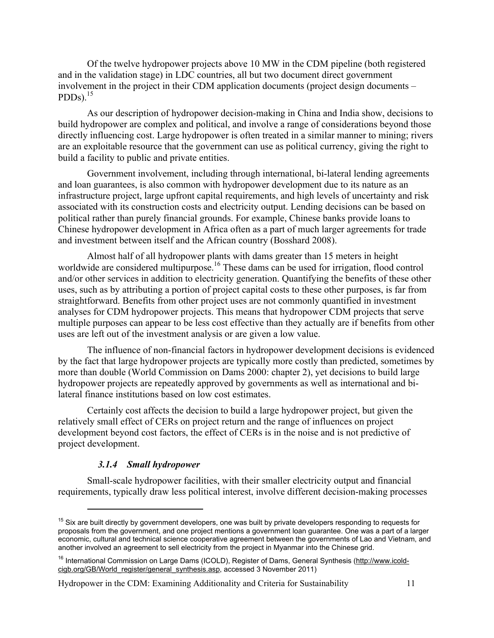Of the twelve hydropower projects above 10 MW in the CDM pipeline (both registered and in the validation stage) in LDC countries, all but two document direct government involvement in the project in their CDM application documents (project design documents – PDDs). $15$ 

As our description of hydropower decision-making in China and India show, decisions to build hydropower are complex and political, and involve a range of considerations beyond those directly influencing cost. Large hydropower is often treated in a similar manner to mining; rivers are an exploitable resource that the government can use as political currency, giving the right to build a facility to public and private entities.

Government involvement, including through international, bi-lateral lending agreements and loan guarantees, is also common with hydropower development due to its nature as an infrastructure project, large upfront capital requirements, and high levels of uncertainty and risk associated with its construction costs and electricity output. Lending decisions can be based on political rather than purely financial grounds. For example, Chinese banks provide loans to Chinese hydropower development in Africa often as a part of much larger agreements for trade and investment between itself and the African country (Bosshard 2008).

Almost half of all hydropower plants with dams greater than 15 meters in height worldwide are considered multipurpose.<sup>16</sup> These dams can be used for irrigation, flood control and/or other services in addition to electricity generation. Quantifying the benefits of these other uses, such as by attributing a portion of project capital costs to these other purposes, is far from straightforward. Benefits from other project uses are not commonly quantified in investment analyses for CDM hydropower projects. This means that hydropower CDM projects that serve multiple purposes can appear to be less cost effective than they actually are if benefits from other uses are left out of the investment analysis or are given a low value.

The influence of non-financial factors in hydropower development decisions is evidenced by the fact that large hydropower projects are typically more costly than predicted, sometimes by more than double (World Commission on Dams 2000: chapter 2), yet decisions to build large hydropower projects are repeatedly approved by governments as well as international and bilateral finance institutions based on low cost estimates.

Certainly cost affects the decision to build a large hydropower project, but given the relatively small effect of CERs on project return and the range of influences on project development beyond cost factors, the effect of CERs is in the noise and is not predictive of project development.

#### *3.1.4 Small hydropower*

 $\overline{a}$ 

Small-scale hydropower facilities, with their smaller electricity output and financial requirements, typically draw less political interest, involve different decision-making processes

Hydropower in the CDM: Examining Additionality and Criteria for Sustainability 11

<sup>&</sup>lt;sup>15</sup> Six are built directly by government developers, one was built by private developers responding to requests for proposals from the government, and one project mentions a government loan guarantee. One was a part of a larger economic, cultural and technical science cooperative agreement between the governments of Lao and Vietnam, and another involved an agreement to sell electricity from the project in Myanmar into the Chinese grid.

<sup>&</sup>lt;sup>16</sup> International Commission on Large Dams (ICOLD), Register of Dams, General Synthesis (http://www.icoldcigb.org/GB/World\_register/general\_synthesis.asp, accessed 3 November 2011)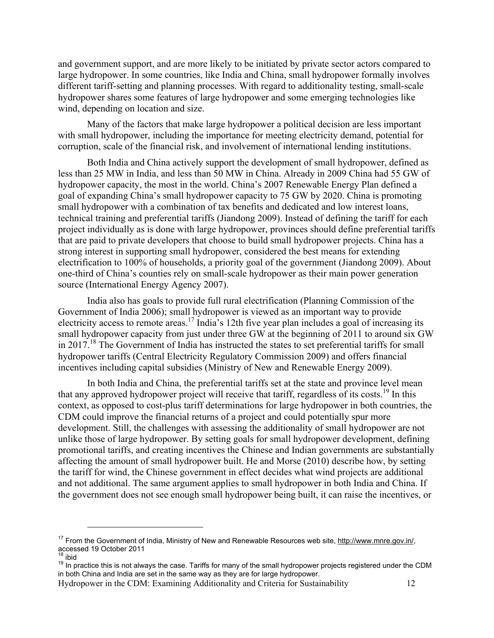and government support, and are more likely to be initiated by private sector actors compared to large hydropower. In some countries, like India and China, small hydropower formally involves different tariff-setting and planning processes. With regard to additionality testing, small-scale hydropower shares some features of large hydropower and some emerging technologies like wind, depending on location and size.

Many of the factors that make large hydropower a political decision are less important with small hydropower, including the importance for meeting electricity demand, potential for corruption, scale of the financial risk, and involvement of international lending institutions.

Both India and China actively support the development of small hydropower, defined as less than 25 MW in India, and less than 50 MW in China. Already in 2009 China had 55 GW of hydropower capacity, the most in the world. China's 2007 Renewable Energy Plan defined a goal of expanding China's small hydropower capacity to 75 GW by 2020. China is promoting small hydropower with a combination of tax benefits and dedicated and low interest loans, technical training and preferential tariffs (Jiandong 2009). Instead of defining the tariff for each project individually as is done with large hydropower, provinces should define preferential tariffs that are paid to private developers that choose to build small hydropower projects. China has a strong interest in supporting small hydropower, considered the best means for extending electrification to 100% of households, a priority goal of the government (Jiandong 2009). About one-third of China's counties rely on small-scale hydropower as their main power generation source (International Energy Agency 2007).

India also has goals to provide full rural electrification (Planning Commission of the Government of India 2006); small hydropower is viewed as an important way to provide electricity access to remote areas.<sup>17</sup> India's 12th five year plan includes a goal of increasing its small hydropower capacity from just under three GW at the beginning of 2011 to around six GW in 2017.<sup>18</sup> The Government of India has instructed the states to set preferential tariffs for small hydropower tariffs (Central Electricity Regulatory Commission 2009) and offers financial incentives including capital subsidies (Ministry of New and Renewable Energy 2009).

In both India and China, the preferential tariffs set at the state and province level mean that any approved hydropower project will receive that tariff, regardless of its costs.<sup>19</sup> In this context, as opposed to cost-plus tariff determinations for large hydropower in both countries, the CDM could improve the financial returns of a project and could potentially spur more development. Still, the challenges with assessing the additionality of small hydropower are not unlike those of large hydropower. By setting goals for small hydropower development, defining promotional tariffs, and creating incentives the Chinese and Indian governments are substantially affecting the amount of small hydropower built. He and Morse (2010) describe how, by setting the tariff for wind, the Chinese government in effect decides what wind projects are additional and not additional. The same argument applies to small hydropower in both India and China. If the government does not see enough small hydropower being built, it can raise the incentives, or

<sup>&</sup>lt;sup>17</sup> From the Government of India, Ministry of New and Renewable Resources web site, http://www.mnre.gov.in/, accessed 19 October 2011<br><sup>18</sup> ibid

<sup>19</sup> In practice this is not always the case. Tariffs for many of the small hydropower projects registered under the CDM in both China and India are set in the same way as they are for large hydropower.

Hydropower in the CDM: Examining Additionality and Criteria for Sustainability 12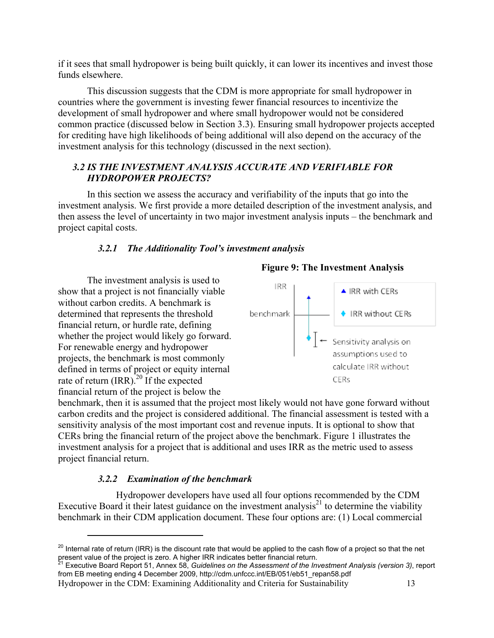if it sees that small hydropower is being built quickly, it can lower its incentives and invest those funds elsewhere.

This discussion suggests that the CDM is more appropriate for small hydropower in countries where the government is investing fewer financial resources to incentivize the development of small hydropower and where small hydropower would not be considered common practice (discussed below in Section 3.3). Ensuring small hydropower projects accepted for crediting have high likelihoods of being additional will also depend on the accuracy of the investment analysis for this technology (discussed in the next section).

## *3.2 IS THE INVESTMENT ANALYSIS ACCURATE AND VERIFIABLE FOR HYDROPOWER PROJECTS?*

In this section we assess the accuracy and verifiability of the inputs that go into the investment analysis. We first provide a more detailed description of the investment analysis, and then assess the level of uncertainty in two major investment analysis inputs – the benchmark and project capital costs.

#### *3.2.1 The Additionality Tool's investment analysis*

The investment analysis is used to show that a project is not financially viable without carbon credits. A benchmark is determined that represents the threshold financial return, or hurdle rate, defining whether the project would likely go forward. For renewable energy and hydropower projects, the benchmark is most commonly defined in terms of project or equity internal rate of return  $\left(\text{IRR}\right)^{20}$  If the expected financial return of the project is below the

 $\overline{a}$ 

#### **Figure 9: The Investment Analysis**



benchmark, then it is assumed that the project most likely would not have gone forward without carbon credits and the project is considered additional. The financial assessment is tested with a sensitivity analysis of the most important cost and revenue inputs. It is optional to show that CERs bring the financial return of the project above the benchmark. Figure 1 illustrates the investment analysis for a project that is additional and uses IRR as the metric used to assess project financial return.

#### *3.2.2 Examination of the benchmark*

Hydropower developers have used all four options recommended by the CDM Executive Board it their latest guidance on the investment analysis $^{21}$  to determine the viability benchmark in their CDM application document. These four options are: (1) Local commercial

 $20$  Internal rate of return (IRR) is the discount rate that would be applied to the cash flow of a project so that the net present value of the project is zero. A higher IRR indicates better financial return.

<sup>21</sup> Executive Board Report 51, Annex 58, *Guidelines on the Assessment of the Investment Analysis (version 3)*, report from EB meeting ending 4 December 2009, http://cdm.unfccc.int/EB/051/eb51\_repan58.pdf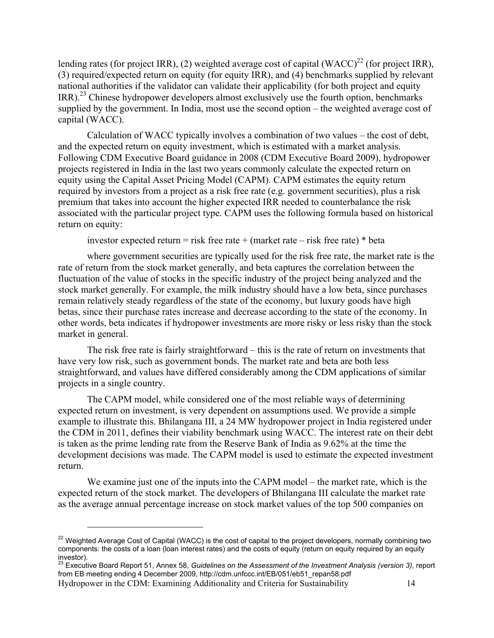lending rates (for project IRR), (2) weighted average cost of capital (WACC)<sup>22</sup> (for project IRR), (3) required/expected return on equity (for equity IRR), and (4) benchmarks supplied by relevant national authorities if the validator can validate their applicability (for both project and equity IRR).23 Chinese hydropower developers almost exclusively use the fourth option, benchmarks supplied by the government. In India, most use the second option – the weighted average cost of capital (WACC).

Calculation of WACC typically involves a combination of two values – the cost of debt, and the expected return on equity investment, which is estimated with a market analysis. Following CDM Executive Board guidance in 2008 (CDM Executive Board 2009), hydropower projects registered in India in the last two years commonly calculate the expected return on equity using the Capital Asset Pricing Model (CAPM). CAPM estimates the equity return required by investors from a project as a risk free rate (e.g. government securities), plus a risk premium that takes into account the higher expected IRR needed to counterbalance the risk associated with the particular project type. CAPM uses the following formula based on historical return on equity:

investor expected return = risk free rate + (market rate – risk free rate)  $*$  beta

where government securities are typically used for the risk free rate, the market rate is the rate of return from the stock market generally, and beta captures the correlation between the fluctuation of the value of stocks in the specific industry of the project being analyzed and the stock market generally. For example, the milk industry should have a low beta, since purchases remain relatively steady regardless of the state of the economy, but luxury goods have high betas, since their purchase rates increase and decrease according to the state of the economy. In other words, beta indicates if hydropower investments are more risky or less risky than the stock market in general.

The risk free rate is fairly straightforward – this is the rate of return on investments that have very low risk, such as government bonds. The market rate and beta are both less straightforward, and values have differed considerably among the CDM applications of similar projects in a single country.

The CAPM model, while considered one of the most reliable ways of determining expected return on investment, is very dependent on assumptions used. We provide a simple example to illustrate this. Bhilangana III, a 24 MW hydropower project in India registered under the CDM in 2011, defines their viability benchmark using WACC. The interest rate on their debt is taken as the prime lending rate from the Reserve Bank of India as 9.62% at the time the development decisions was made. The CAPM model is used to estimate the expected investment return.

We examine just one of the inputs into the CAPM model – the market rate, which is the expected return of the stock market. The developers of Bhilangana III calculate the market rate as the average annual percentage increase on stock market values of the top 500 companies on

<sup>&</sup>lt;sup>22</sup> Weighted Average Cost of Capital (WACC) is the cost of capital to the project developers, normally combining two components: the costs of a loan (loan interest rates) and the costs of equity (return on equity required by an equity investor).

<sup>23</sup> Executive Board Report 51, Annex 58, *Guidelines on the Assessment of the Investment Analysis (version 3)*, report from EB meeting ending 4 December 2009, http://cdm.unfccc.int/EB/051/eb51\_repan58.pdf

Hydropower in the CDM: Examining Additionality and Criteria for Sustainability 14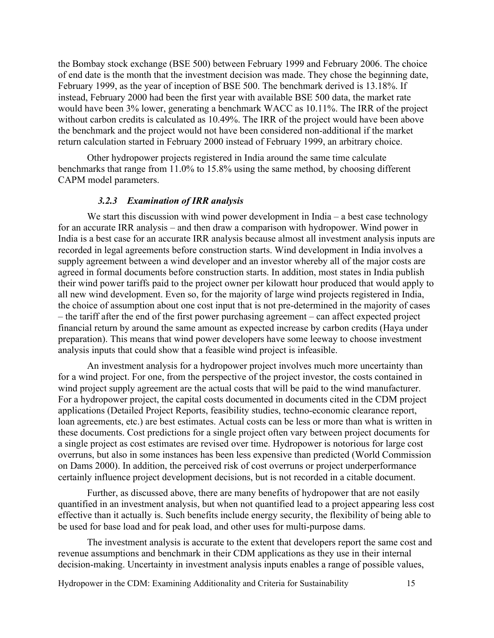the Bombay stock exchange (BSE 500) between February 1999 and February 2006. The choice of end date is the month that the investment decision was made. They chose the beginning date, February 1999, as the year of inception of BSE 500. The benchmark derived is 13.18%. If instead, February 2000 had been the first year with available BSE 500 data, the market rate would have been 3% lower, generating a benchmark WACC as 10.11%. The IRR of the project without carbon credits is calculated as 10.49%. The IRR of the project would have been above the benchmark and the project would not have been considered non-additional if the market return calculation started in February 2000 instead of February 1999, an arbitrary choice.

Other hydropower projects registered in India around the same time calculate benchmarks that range from 11.0% to 15.8% using the same method, by choosing different CAPM model parameters.

#### *3.2.3 Examination of IRR analysis*

We start this discussion with wind power development in India – a best case technology for an accurate IRR analysis – and then draw a comparison with hydropower. Wind power in India is a best case for an accurate IRR analysis because almost all investment analysis inputs are recorded in legal agreements before construction starts. Wind development in India involves a supply agreement between a wind developer and an investor whereby all of the major costs are agreed in formal documents before construction starts. In addition, most states in India publish their wind power tariffs paid to the project owner per kilowatt hour produced that would apply to all new wind development. Even so, for the majority of large wind projects registered in India, the choice of assumption about one cost input that is not pre-determined in the majority of cases – the tariff after the end of the first power purchasing agreement – can affect expected project financial return by around the same amount as expected increase by carbon credits (Haya under preparation). This means that wind power developers have some leeway to choose investment analysis inputs that could show that a feasible wind project is infeasible.

An investment analysis for a hydropower project involves much more uncertainty than for a wind project. For one, from the perspective of the project investor, the costs contained in wind project supply agreement are the actual costs that will be paid to the wind manufacturer. For a hydropower project, the capital costs documented in documents cited in the CDM project applications (Detailed Project Reports, feasibility studies, techno-economic clearance report, loan agreements, etc.) are best estimates. Actual costs can be less or more than what is written in these documents. Cost predictions for a single project often vary between project documents for a single project as cost estimates are revised over time. Hydropower is notorious for large cost overruns, but also in some instances has been less expensive than predicted (World Commission on Dams 2000). In addition, the perceived risk of cost overruns or project underperformance certainly influence project development decisions, but is not recorded in a citable document.

Further, as discussed above, there are many benefits of hydropower that are not easily quantified in an investment analysis, but when not quantified lead to a project appearing less cost effective than it actually is. Such benefits include energy security, the flexibility of being able to be used for base load and for peak load, and other uses for multi-purpose dams.

The investment analysis is accurate to the extent that developers report the same cost and revenue assumptions and benchmark in their CDM applications as they use in their internal decision-making. Uncertainty in investment analysis inputs enables a range of possible values,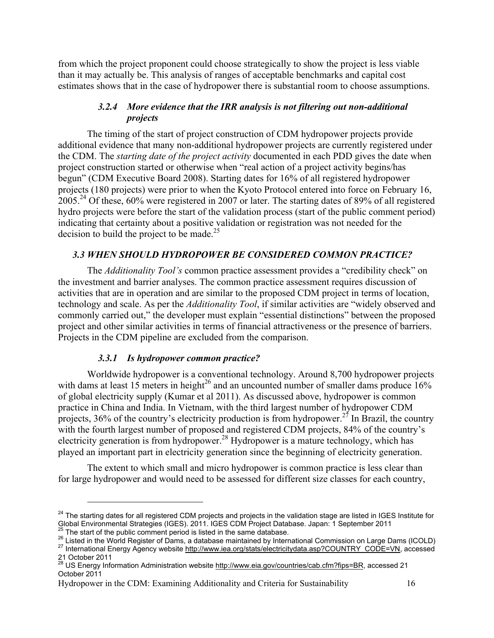from which the project proponent could choose strategically to show the project is less viable than it may actually be. This analysis of ranges of acceptable benchmarks and capital cost estimates shows that in the case of hydropower there is substantial room to choose assumptions.

## *3.2.4 More evidence that the IRR analysis is not filtering out non-additional projects*

The timing of the start of project construction of CDM hydropower projects provide additional evidence that many non-additional hydropower projects are currently registered under the CDM. The *starting date of the project activity* documented in each PDD gives the date when project construction started or otherwise when "real action of a project activity begins/has begun" (CDM Executive Board 2008). Starting dates for 16% of all registered hydropower projects (180 projects) were prior to when the Kyoto Protocol entered into force on February 16, 2005<sup>24</sup> Of these, 60% were registered in 2007 or later. The starting dates of 89% of all registered hydro projects were before the start of the validation process (start of the public comment period) indicating that certainty about a positive validation or registration was not needed for the decision to build the project to be made.<sup>25</sup>

#### *3.3 WHEN SHOULD HYDROPOWER BE CONSIDERED COMMON PRACTICE?*

The *Additionality Tool's* common practice assessment provides a "credibility check" on the investment and barrier analyses. The common practice assessment requires discussion of activities that are in operation and are similar to the proposed CDM project in terms of location, technology and scale. As per the *Additionality Tool*, if similar activities are "widely observed and commonly carried out," the developer must explain "essential distinctions" between the proposed project and other similar activities in terms of financial attractiveness or the presence of barriers. Projects in the CDM pipeline are excluded from the comparison.

#### *3.3.1 Is hydropower common practice?*

 $\overline{a}$ 

Worldwide hydropower is a conventional technology. Around 8,700 hydropower projects with dams at least 15 meters in height<sup>26</sup> and an uncounted number of smaller dams produce  $16\%$ of global electricity supply (Kumar et al 2011). As discussed above, hydropower is common practice in China and India. In Vietnam, with the third largest number of hydropower CDM projects, 36% of the country's electricity production is from hydropower.<sup>27</sup> In Brazil, the country with the fourth largest number of proposed and registered CDM projects, 84% of the country's electricity generation is from hydropower.<sup>28</sup> Hydropower is a mature technology, which has played an important part in electricity generation since the beginning of electricity generation.

The extent to which small and micro hydropower is common practice is less clear than for large hydropower and would need to be assessed for different size classes for each country,

 $^{24}$  The starting dates for all registered CDM projects and projects in the validation stage are listed in IGES Institute for Global Environmental Strategies (IGES). 2011. IGES CDM Project Database. Japan: 1 September 2011

<sup>&</sup>lt;sup>26</sup> Listed in the World Register of Dams, a database maintained by International Commission on Large Dams (ICOLD)<br><sup>27</sup> International Energy Agency website http://www.iea.org/stats/electricitydata.asp?COUNTRY\_CODE=VN, acce 21 October 2011

<sup>&</sup>lt;sup>28</sup> US Energy Information Administration website http://www.eia.gov/countries/cab.cfm?fips=BR, accessed 21 October 2011

Hydropower in the CDM: Examining Additionality and Criteria for Sustainability 16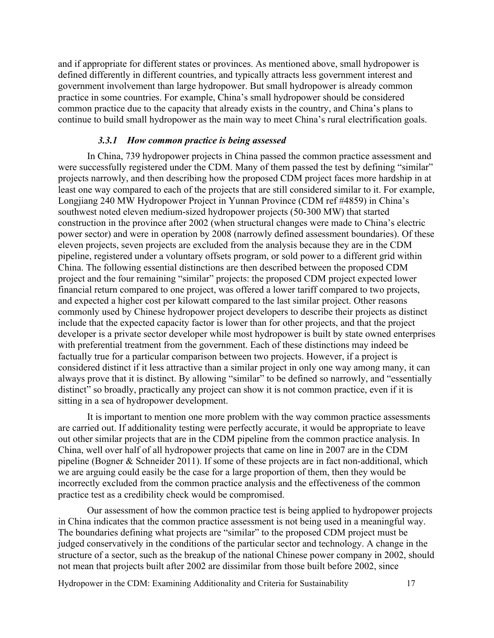and if appropriate for different states or provinces. As mentioned above, small hydropower is defined differently in different countries, and typically attracts less government interest and government involvement than large hydropower. But small hydropower is already common practice in some countries. For example, China's small hydropower should be considered common practice due to the capacity that already exists in the country, and China's plans to continue to build small hydropower as the main way to meet China's rural electrification goals.

#### *3.3.1 How common practice is being assessed*

In China, 739 hydropower projects in China passed the common practice assessment and were successfully registered under the CDM. Many of them passed the test by defining "similar" projects narrowly, and then describing how the proposed CDM project faces more hardship in at least one way compared to each of the projects that are still considered similar to it. For example, Longjiang 240 MW Hydropower Project in Yunnan Province (CDM ref #4859) in China's southwest noted eleven medium-sized hydropower projects (50-300 MW) that started construction in the province after 2002 (when structural changes were made to China's electric power sector) and were in operation by 2008 (narrowly defined assessment boundaries). Of these eleven projects, seven projects are excluded from the analysis because they are in the CDM pipeline, registered under a voluntary offsets program, or sold power to a different grid within China. The following essential distinctions are then described between the proposed CDM project and the four remaining "similar" projects: the proposed CDM project expected lower financial return compared to one project, was offered a lower tariff compared to two projects, and expected a higher cost per kilowatt compared to the last similar project. Other reasons commonly used by Chinese hydropower project developers to describe their projects as distinct include that the expected capacity factor is lower than for other projects, and that the project developer is a private sector developer while most hydropower is built by state owned enterprises with preferential treatment from the government. Each of these distinctions may indeed be factually true for a particular comparison between two projects. However, if a project is considered distinct if it less attractive than a similar project in only one way among many, it can always prove that it is distinct. By allowing "similar" to be defined so narrowly, and "essentially distinct" so broadly, practically any project can show it is not common practice, even if it is sitting in a sea of hydropower development.

It is important to mention one more problem with the way common practice assessments are carried out. If additionality testing were perfectly accurate, it would be appropriate to leave out other similar projects that are in the CDM pipeline from the common practice analysis. In China, well over half of all hydropower projects that came on line in 2007 are in the CDM pipeline (Bogner & Schneider 2011). If some of these projects are in fact non-additional, which we are arguing could easily be the case for a large proportion of them, then they would be incorrectly excluded from the common practice analysis and the effectiveness of the common practice test as a credibility check would be compromised.

Our assessment of how the common practice test is being applied to hydropower projects in China indicates that the common practice assessment is not being used in a meaningful way. The boundaries defining what projects are "similar" to the proposed CDM project must be judged conservatively in the conditions of the particular sector and technology. A change in the structure of a sector, such as the breakup of the national Chinese power company in 2002, should not mean that projects built after 2002 are dissimilar from those built before 2002, since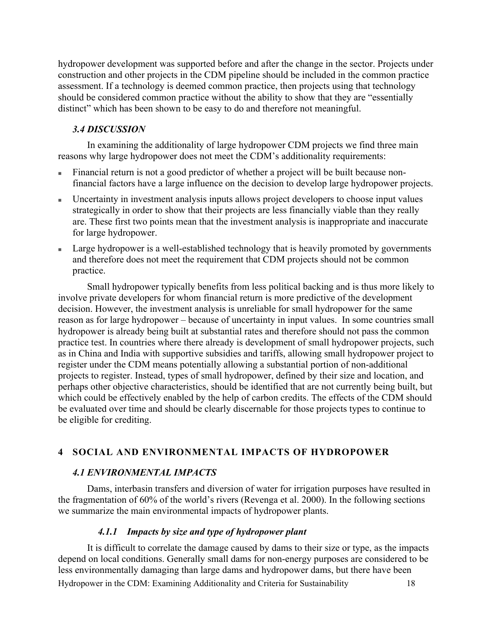hydropower development was supported before and after the change in the sector. Projects under construction and other projects in the CDM pipeline should be included in the common practice assessment. If a technology is deemed common practice, then projects using that technology should be considered common practice without the ability to show that they are "essentially distinct" which has been shown to be easy to do and therefore not meaningful.

## *3.4 DISCUSSION*

In examining the additionality of large hydropower CDM projects we find three main reasons why large hydropower does not meet the CDM's additionality requirements:

- Financial return is not a good predictor of whether a project will be built because nonfinancial factors have a large influence on the decision to develop large hydropower projects.
- Uncertainty in investment analysis inputs allows project developers to choose input values strategically in order to show that their projects are less financially viable than they really are. These first two points mean that the investment analysis is inappropriate and inaccurate for large hydropower.
- **Large hydropower is a well-established technology that is heavily promoted by governments** and therefore does not meet the requirement that CDM projects should not be common practice.

Small hydropower typically benefits from less political backing and is thus more likely to involve private developers for whom financial return is more predictive of the development decision. However, the investment analysis is unreliable for small hydropower for the same reason as for large hydropower – because of uncertainty in input values. In some countries small hydropower is already being built at substantial rates and therefore should not pass the common practice test. In countries where there already is development of small hydropower projects, such as in China and India with supportive subsidies and tariffs, allowing small hydropower project to register under the CDM means potentially allowing a substantial portion of non-additional projects to register. Instead, types of small hydropower, defined by their size and location, and perhaps other objective characteristics, should be identified that are not currently being built, but which could be effectively enabled by the help of carbon credits. The effects of the CDM should be evaluated over time and should be clearly discernable for those projects types to continue to be eligible for crediting.

## **4 SOCIAL AND ENVIRONMENTAL IMPACTS OF HYDROPOWER**

## *4.1 ENVIRONMENTAL IMPACTS*

Dams, interbasin transfers and diversion of water for irrigation purposes have resulted in the fragmentation of 60% of the world's rivers (Revenga et al. 2000). In the following sections we summarize the main environmental impacts of hydropower plants.

## *4.1.1 Impacts by size and type of hydropower plant*

Hydropower in the CDM: Examining Additionality and Criteria for Sustainability 18 It is difficult to correlate the damage caused by dams to their size or type, as the impacts depend on local conditions. Generally small dams for non-energy purposes are considered to be less environmentally damaging than large dams and hydropower dams, but there have been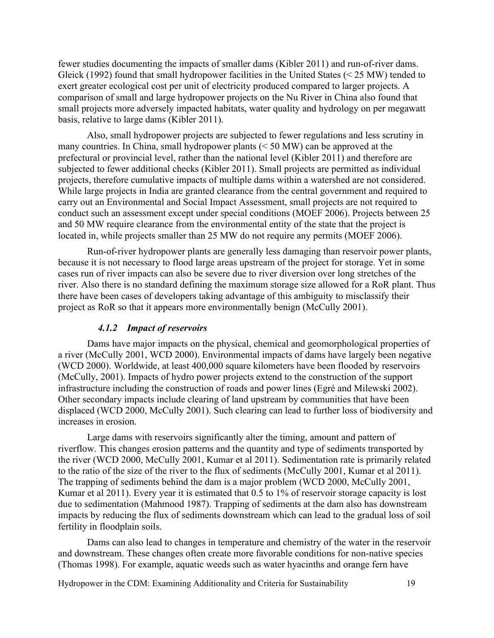fewer studies documenting the impacts of smaller dams (Kibler 2011) and run-of-river dams. Gleick (1992) found that small hydropower facilities in the United States (< 25 MW) tended to exert greater ecological cost per unit of electricity produced compared to larger projects. A comparison of small and large hydropower projects on the Nu River in China also found that small projects more adversely impacted habitats, water quality and hydrology on per megawatt basis, relative to large dams (Kibler 2011).

Also, small hydropower projects are subjected to fewer regulations and less scrutiny in many countries. In China, small hydropower plants (< 50 MW) can be approved at the prefectural or provincial level, rather than the national level (Kibler 2011) and therefore are subjected to fewer additional checks (Kibler 2011). Small projects are permitted as individual projects, therefore cumulative impacts of multiple dams within a watershed are not considered. While large projects in India are granted clearance from the central government and required to carry out an Environmental and Social Impact Assessment, small projects are not required to conduct such an assessment except under special conditions (MOEF 2006). Projects between 25 and 50 MW require clearance from the environmental entity of the state that the project is located in, while projects smaller than 25 MW do not require any permits (MOEF 2006).

Run-of-river hydropower plants are generally less damaging than reservoir power plants, because it is not necessary to flood large areas upstream of the project for storage. Yet in some cases run of river impacts can also be severe due to river diversion over long stretches of the river. Also there is no standard defining the maximum storage size allowed for a RoR plant. Thus there have been cases of developers taking advantage of this ambiguity to misclassify their project as RoR so that it appears more environmentally benign (McCully 2001).

#### *4.1.2 Impact of reservoirs*

Dams have major impacts on the physical, chemical and geomorphological properties of a river (McCully 2001, WCD 2000). Environmental impacts of dams have largely been negative (WCD 2000). Worldwide, at least 400,000 square kilometers have been flooded by reservoirs (McCully, 2001). Impacts of hydro power projects extend to the construction of the support infrastructure including the construction of roads and power lines (Egré and Milewski 2002). Other secondary impacts include clearing of land upstream by communities that have been displaced (WCD 2000, McCully 2001). Such clearing can lead to further loss of biodiversity and increases in erosion.

Large dams with reservoirs significantly alter the timing, amount and pattern of riverflow. This changes erosion patterns and the quantity and type of sediments transported by the river (WCD 2000, McCully 2001, Kumar et al 2011). Sedimentation rate is primarily related to the ratio of the size of the river to the flux of sediments (McCully 2001, Kumar et al 2011). The trapping of sediments behind the dam is a major problem (WCD 2000, McCully 2001, Kumar et al 2011). Every year it is estimated that 0.5 to 1% of reservoir storage capacity is lost due to sedimentation (Mahmood 1987). Trapping of sediments at the dam also has downstream impacts by reducing the flux of sediments downstream which can lead to the gradual loss of soil fertility in floodplain soils.

Dams can also lead to changes in temperature and chemistry of the water in the reservoir and downstream. These changes often create more favorable conditions for non-native species (Thomas 1998). For example, aquatic weeds such as water hyacinths and orange fern have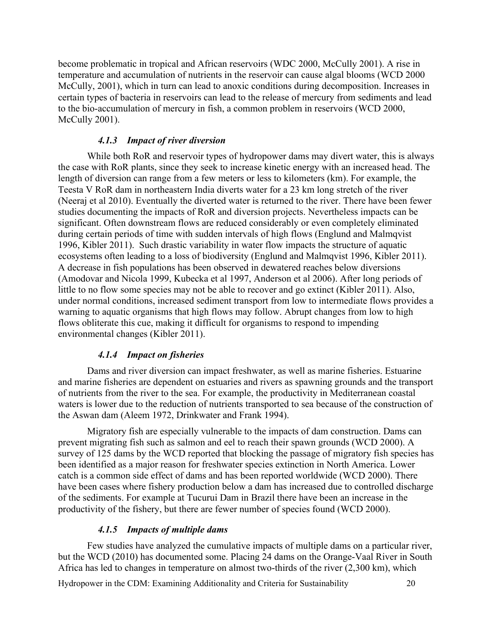become problematic in tropical and African reservoirs (WDC 2000, McCully 2001). A rise in temperature and accumulation of nutrients in the reservoir can cause algal blooms (WCD 2000 McCully, 2001), which in turn can lead to anoxic conditions during decomposition. Increases in certain types of bacteria in reservoirs can lead to the release of mercury from sediments and lead to the bio-accumulation of mercury in fish, a common problem in reservoirs (WCD 2000, McCully 2001).

#### *4.1.3 Impact of river diversion*

While both RoR and reservoir types of hydropower dams may divert water, this is always the case with RoR plants, since they seek to increase kinetic energy with an increased head. The length of diversion can range from a few meters or less to kilometers (km). For example, the Teesta V RoR dam in northeastern India diverts water for a 23 km long stretch of the river (Neeraj et al 2010). Eventually the diverted water is returned to the river. There have been fewer studies documenting the impacts of RoR and diversion projects. Nevertheless impacts can be significant. Often downstream flows are reduced considerably or even completely eliminated during certain periods of time with sudden intervals of high flows (Englund and Malmqvist 1996, Kibler 2011). Such drastic variability in water flow impacts the structure of aquatic ecosystems often leading to a loss of biodiversity (Englund and Malmqvist 1996, Kibler 2011). A decrease in fish populations has been observed in dewatered reaches below diversions (Amodovar and Nicola 1999, Kubecka et al 1997, Anderson et al 2006). After long periods of little to no flow some species may not be able to recover and go extinct (Kibler 2011). Also, under normal conditions, increased sediment transport from low to intermediate flows provides a warning to aquatic organisms that high flows may follow. Abrupt changes from low to high flows obliterate this cue, making it difficult for organisms to respond to impending environmental changes (Kibler 2011).

#### *4.1.4 Impact on fisheries*

Dams and river diversion can impact freshwater, as well as marine fisheries. Estuarine and marine fisheries are dependent on estuaries and rivers as spawning grounds and the transport of nutrients from the river to the sea. For example, the productivity in Mediterranean coastal waters is lower due to the reduction of nutrients transported to sea because of the construction of the Aswan dam (Aleem 1972, Drinkwater and Frank 1994).

Migratory fish are especially vulnerable to the impacts of dam construction. Dams can prevent migrating fish such as salmon and eel to reach their spawn grounds (WCD 2000). A survey of 125 dams by the WCD reported that blocking the passage of migratory fish species has been identified as a major reason for freshwater species extinction in North America. Lower catch is a common side effect of dams and has been reported worldwide (WCD 2000). There have been cases where fishery production below a dam has increased due to controlled discharge of the sediments. For example at Tucurui Dam in Brazil there have been an increase in the productivity of the fishery, but there are fewer number of species found (WCD 2000).

#### *4.1.5 Impacts of multiple dams*

Few studies have analyzed the cumulative impacts of multiple dams on a particular river, but the WCD (2010) has documented some. Placing 24 dams on the Orange-Vaal River in South Africa has led to changes in temperature on almost two-thirds of the river (2,300 km), which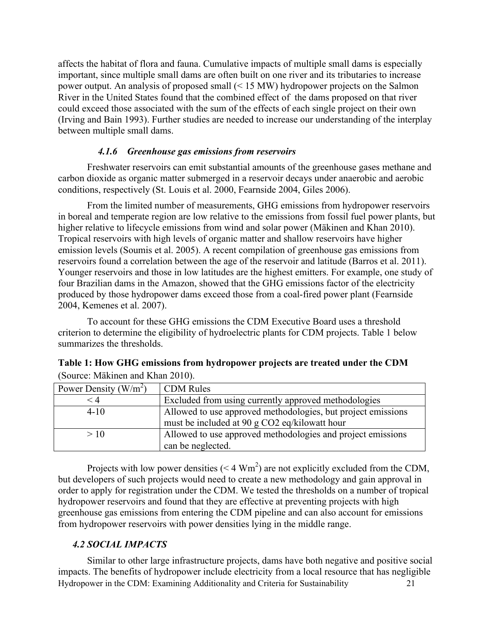affects the habitat of flora and fauna. Cumulative impacts of multiple small dams is especially important, since multiple small dams are often built on one river and its tributaries to increase power output. An analysis of proposed small (< 15 MW) hydropower projects on the Salmon River in the United States found that the combined effect of the dams proposed on that river could exceed those associated with the sum of the effects of each single project on their own (Irving and Bain 1993). Further studies are needed to increase our understanding of the interplay between multiple small dams.

#### *4.1.6 Greenhouse gas emissions from reservoirs*

Freshwater reservoirs can emit substantial amounts of the greenhouse gases methane and carbon dioxide as organic matter submerged in a reservoir decays under anaerobic and aerobic conditions, respectively (St. Louis et al. 2000, Fearnside 2004, Giles 2006).

From the limited number of measurements, GHG emissions from hydropower reservoirs in boreal and temperate region are low relative to the emissions from fossil fuel power plants, but higher relative to lifecycle emissions from wind and solar power (Mäkinen and Khan 2010). Tropical reservoirs with high levels of organic matter and shallow reservoirs have higher emission levels (Soumis et al. 2005). A recent compilation of greenhouse gas emissions from reservoirs found a correlation between the age of the reservoir and latitude (Barros et al. 2011). Younger reservoirs and those in low latitudes are the highest emitters. For example, one study of four Brazilian dams in the Amazon, showed that the GHG emissions factor of the electricity produced by those hydropower dams exceed those from a coal-fired power plant (Fearnside 2004, Kemenes et al. 2007).

To account for these GHG emissions the CDM Executive Board uses a threshold criterion to determine the eligibility of hydroelectric plants for CDM projects. Table 1 below summarizes the thresholds.

| Power Density $(W/m^2)$ | <b>CDM</b> Rules                                             |  |  |
|-------------------------|--------------------------------------------------------------|--|--|
| $<$ 4 $\,$              | Excluded from using currently approved methodologies         |  |  |
| $4 - 10$                | Allowed to use approved methodologies, but project emissions |  |  |
|                         | must be included at 90 g CO2 eq/kilowatt hour                |  |  |
| >10                     | Allowed to use approved methodologies and project emissions  |  |  |
|                         | can be neglected.                                            |  |  |

| Table 1: How GHG emissions from hydropower projects are treated under the CDM |  |  |
|-------------------------------------------------------------------------------|--|--|
| (Source: Mäkinen and Khan 2010).                                              |  |  |

Projects with low power densities ( $\leq 4$  Wm<sup>2</sup>) are not explicitly excluded from the CDM, but developers of such projects would need to create a new methodology and gain approval in order to apply for registration under the CDM. We tested the thresholds on a number of tropical hydropower reservoirs and found that they are effective at preventing projects with high greenhouse gas emissions from entering the CDM pipeline and can also account for emissions from hydropower reservoirs with power densities lying in the middle range.

## *4.2 SOCIAL IMPACTS*

Hydropower in the CDM: Examining Additionality and Criteria for Sustainability 21 Similar to other large infrastructure projects, dams have both negative and positive social impacts. The benefits of hydropower include electricity from a local resource that has negligible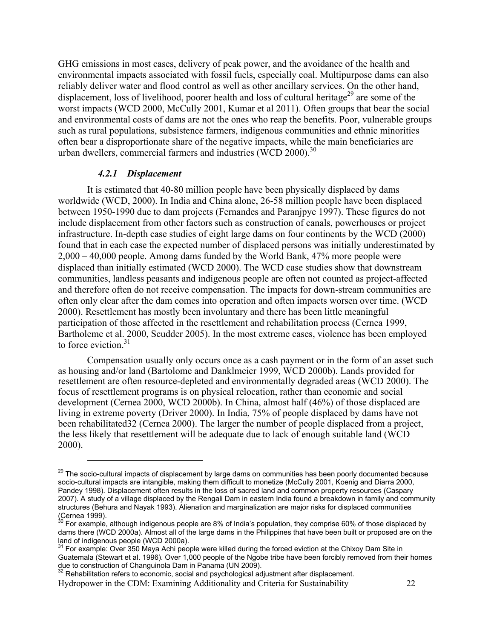GHG emissions in most cases, delivery of peak power, and the avoidance of the health and environmental impacts associated with fossil fuels, especially coal. Multipurpose dams can also reliably deliver water and flood control as well as other ancillary services. On the other hand, displacement, loss of livelihood, poorer health and loss of cultural heritage<sup>29</sup> are some of the worst impacts (WCD 2000, McCully 2001, Kumar et al 2011). Often groups that bear the social and environmental costs of dams are not the ones who reap the benefits. Poor, vulnerable groups such as rural populations, subsistence farmers, indigenous communities and ethnic minorities often bear a disproportionate share of the negative impacts, while the main beneficiaries are urban dwellers, commercial farmers and industries (WCD  $2000$ ).<sup>30</sup>

#### *4.2.1 Displacement*

 $\overline{a}$ 

It is estimated that 40-80 million people have been physically displaced by dams worldwide (WCD, 2000). In India and China alone, 26-58 million people have been displaced between 1950-1990 due to dam projects (Fernandes and Paranjpye 1997). These figures do not include displacement from other factors such as construction of canals, powerhouses or project infrastructure. In-depth case studies of eight large dams on four continents by the WCD (2000) found that in each case the expected number of displaced persons was initially underestimated by 2,000 – 40,000 people. Among dams funded by the World Bank, 47% more people were displaced than initially estimated (WCD 2000). The WCD case studies show that downstream communities, landless peasants and indigenous people are often not counted as project-affected and therefore often do not receive compensation. The impacts for down-stream communities are often only clear after the dam comes into operation and often impacts worsen over time. (WCD 2000). Resettlement has mostly been involuntary and there has been little meaningful participation of those affected in the resettlement and rehabilitation process (Cernea 1999, Bartholeme et al. 2000, Scudder 2005). In the most extreme cases, violence has been employed to force eviction. $31$ 

Compensation usually only occurs once as a cash payment or in the form of an asset such as housing and/or land (Bartolome and Danklmeier 1999, WCD 2000b). Lands provided for resettlement are often resource-depleted and environmentally degraded areas (WCD 2000). The focus of resettlement programs is on physical relocation, rather than economic and social development (Cernea 2000, WCD 2000b). In China, almost half (46%) of those displaced are living in extreme poverty (Driver 2000). In India, 75% of people displaced by dams have not been rehabilitated32 (Cernea 2000). The larger the number of people displaced from a project, the less likely that resettlement will be adequate due to lack of enough suitable land (WCD 2000).

<sup>&</sup>lt;sup>29</sup> The socio-cultural impacts of displacement by large dams on communities has been poorly documented because socio-cultural impacts are intangible, making them difficult to monetize (McCully 2001, Koenig and Diarra 2000, Pandey 1998). Displacement often results in the loss of sacred land and common property resources (Caspary 2007). A study of a village displaced by the Rengali Dam in eastern India found a breakdown in family and community structures (Behura and Nayak 1993). Alienation and marginalization are major risks for displaced communities  $(Cernea 1999)$ .<br> $\frac{30}{2}$ 

<sup>30</sup> For example, although indigenous people are 8% of India's population, they comprise 60% of those displaced by dams there (WCD 2000a). Almost all of the large dams in the Philippines that have been built or proposed are on the land of indigenous people (WCD 2000a).

 $31$  For example: Over 350 Maya Achi people were killed during the forced eviction at the Chixoy Dam Site in Guatemala (Stewart et al. 1996). Over 1,000 people of the Ngobe tribe have been forcibly removed from their homes due to construction of Changuinola Dam in Panama (UN 2009).

 $32$  Rehabilitation refers to economic, social and psychological adjustment after displacement.

Hydropower in the CDM: Examining Additionality and Criteria for Sustainability 22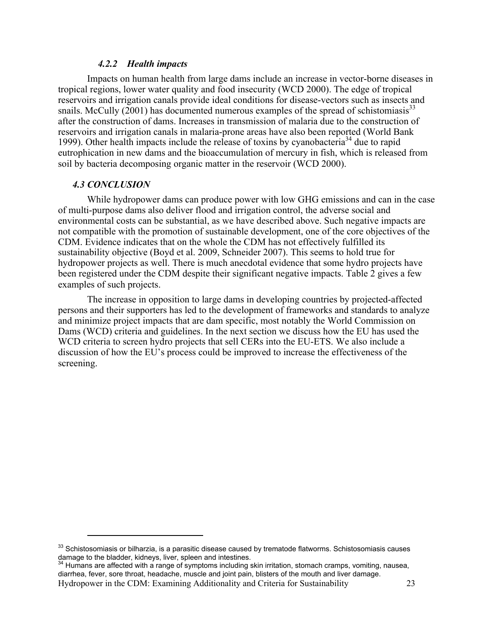#### *4.2.2 Health impacts*

Impacts on human health from large dams include an increase in vector-borne diseases in tropical regions, lower water quality and food insecurity (WCD 2000). The edge of tropical reservoirs and irrigation canals provide ideal conditions for disease-vectors such as insects and snails. McCully  $(2001)$  has documented numerous examples of the spread of schistomiasis<sup>33</sup> after the construction of dams. Increases in transmission of malaria due to the construction of reservoirs and irrigation canals in malaria-prone areas have also been reported (World Bank 1999). Other health impacts include the release of toxins by cyanobacteria<sup>34</sup> due to rapid eutrophication in new dams and the bioaccumulation of mercury in fish, which is released from soil by bacteria decomposing organic matter in the reservoir (WCD 2000).

#### *4.3 CONCLUSION*

 $\overline{a}$ 

While hydropower dams can produce power with low GHG emissions and can in the case of multi-purpose dams also deliver flood and irrigation control, the adverse social and environmental costs can be substantial, as we have described above. Such negative impacts are not compatible with the promotion of sustainable development, one of the core objectives of the CDM. Evidence indicates that on the whole the CDM has not effectively fulfilled its sustainability objective (Boyd et al. 2009, Schneider 2007). This seems to hold true for hydropower projects as well. There is much anecdotal evidence that some hydro projects have been registered under the CDM despite their significant negative impacts. Table 2 gives a few examples of such projects.

The increase in opposition to large dams in developing countries by projected-affected persons and their supporters has led to the development of frameworks and standards to analyze and minimize project impacts that are dam specific, most notably the World Commission on Dams (WCD) criteria and guidelines. In the next section we discuss how the EU has used the WCD criteria to screen hydro projects that sell CERs into the EU-ETS. We also include a discussion of how the EU's process could be improved to increase the effectiveness of the screening.

 $33$  Schistosomiasis or bilharzia, is a parasitic disease caused by trematode flatworms. Schistosomiasis causes damage to the bladder, kidneys, liver, spleen and intestines.

Hydropower in the CDM: Examining Additionality and Criteria for Sustainability 23 34 Humans are affected with a range of symptoms including skin irritation, stomach cramps, vomiting, nausea, diarrhea, fever, sore throat, headache, muscle and joint pain, blisters of the mouth and liver damage.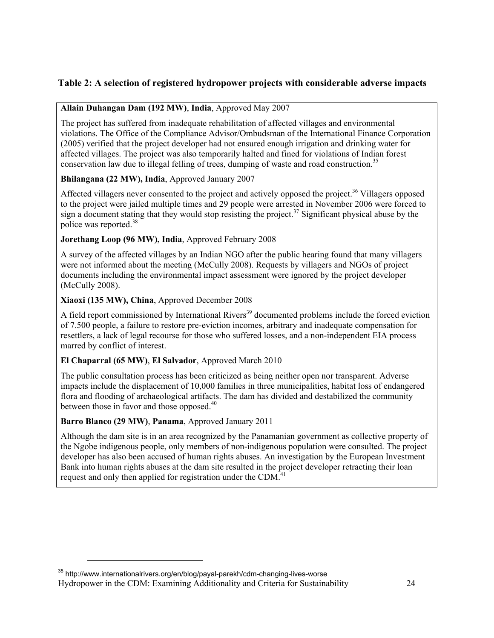## **Table 2: A selection of registered hydropower projects with considerable adverse impacts**

#### **Allain Duhangan Dam (192 MW)**, **India**, Approved May 2007

The project has suffered from inadequate rehabilitation of affected villages and environmental violations. The Office of the Compliance Advisor/Ombudsman of the International Finance Corporation (2005) verified that the project developer had not ensured enough irrigation and drinking water for affected villages. The project was also temporarily halted and fined for violations of Indian forest conservation law due to illegal felling of trees, dumping of waste and road construction.<sup>35</sup>

#### **Bhilangana (22 MW), India**, Approved January 2007

Affected villagers never consented to the project and actively opposed the project.<sup>36</sup> Villagers opposed to the project were jailed multiple times and 29 people were arrested in November 2006 were forced to sign a document stating that they would stop resisting the project.<sup>37</sup> Significant physical abuse by the police was reported.<sup>38</sup>

#### **Jorethang Loop (96 MW), India**, Approved February 2008

A survey of the affected villages by an Indian NGO after the public hearing found that many villagers were not informed about the meeting (McCully 2008). Requests by villagers and NGOs of project documents including the environmental impact assessment were ignored by the project developer (McCully 2008).

#### **Xiaoxi (135 MW), China**, Approved December 2008

A field report commissioned by International Rivers<sup>39</sup> documented problems include the forced eviction of 7.500 people, a failure to restore pre-eviction incomes, arbitrary and inadequate compensation for resettlers, a lack of legal recourse for those who suffered losses, and a non-independent EIA process marred by conflict of interest.

## **El Chaparral (65 MW)**, **El Salvador**, Approved March 2010

The public consultation process has been criticized as being neither open nor transparent. Adverse impacts include the displacement of 10,000 families in three municipalities, habitat loss of endangered flora and flooding of archaeological artifacts. The dam has divided and destabilized the community between those in favor and those opposed.<sup>40</sup>

## **Barro Blanco (29 MW)**, **Panama**, Approved January 2011

 $\overline{a}$ 

Although the dam site is in an area recognized by the Panamanian government as collective property of the Ngobe indigenous people, only members of non-indigenous population were consulted. The project developer has also been accused of human rights abuses. An investigation by the European Investment Bank into human rights abuses at the dam site resulted in the project developer retracting their loan request and only then applied for registration under the CDM.<sup>41</sup>

Hydropower in the CDM: Examining Additionality and Criteria for Sustainability 24 35 http://www.internationalrivers.org/en/blog/payal-parekh/cdm-changing-lives-worse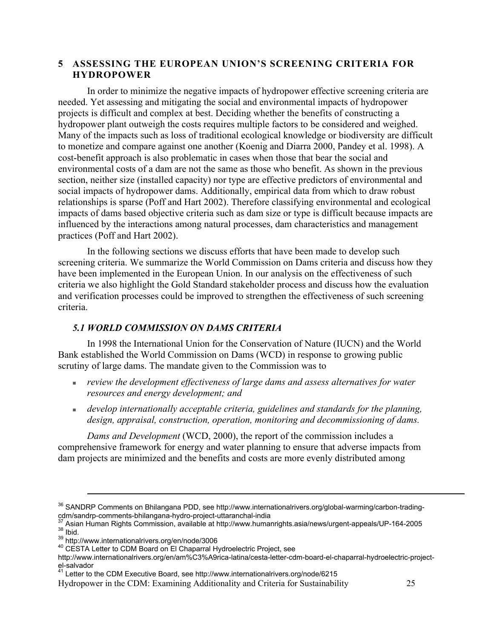#### **5 ASSESSING THE EUROPEAN UNION'S SCREENING CRITERIA FOR HYDROPOWER**

In order to minimize the negative impacts of hydropower effective screening criteria are needed. Yet assessing and mitigating the social and environmental impacts of hydropower projects is difficult and complex at best. Deciding whether the benefits of constructing a hydropower plant outweigh the costs requires multiple factors to be considered and weighed. Many of the impacts such as loss of traditional ecological knowledge or biodiversity are difficult to monetize and compare against one another (Koenig and Diarra 2000, Pandey et al. 1998). A cost-benefit approach is also problematic in cases when those that bear the social and environmental costs of a dam are not the same as those who benefit. As shown in the previous section, neither size (installed capacity) nor type are effective predictors of environmental and social impacts of hydropower dams. Additionally, empirical data from which to draw robust relationships is sparse (Poff and Hart 2002). Therefore classifying environmental and ecological impacts of dams based objective criteria such as dam size or type is difficult because impacts are influenced by the interactions among natural processes, dam characteristics and management practices (Poff and Hart 2002).

In the following sections we discuss efforts that have been made to develop such screening criteria. We summarize the World Commission on Dams criteria and discuss how they have been implemented in the European Union. In our analysis on the effectiveness of such criteria we also highlight the Gold Standard stakeholder process and discuss how the evaluation and verification processes could be improved to strengthen the effectiveness of such screening criteria.

## *5.1 WORLD COMMISSION ON DAMS CRITERIA*

In 1998 the International Union for the Conservation of Nature (IUCN) and the World Bank established the World Commission on Dams (WCD) in response to growing public scrutiny of large dams. The mandate given to the Commission was to

- *review the development effectiveness of large dams and assess alternatives for water resources and energy development; and*
- *develop internationally acceptable criteria, guidelines and standards for the planning, design, appraisal, construction, operation, monitoring and decommissioning of dams.*

*Dams and Development* (WCD, 2000), the report of the commission includes a comprehensive framework for energy and water planning to ensure that adverse impacts from dam projects are minimized and the benefits and costs are more evenly distributed among

<sup>36</sup> SANDRP Comments on Bhilangana PDD, see http://www.internationalrivers.org/global-warming/carbon-trading-<br>com/sandrp-comments-bhilangana-hydro-project-uttaranchal-india

Asian Human Rights Commission, available at http://www.humanrights.asia/news/urgent-appeals/UP-164-2005<br>
<sup>38</sup> lbid.<br>
<sup>39</sup> http://www.internationalrivers.org/en/node/3006<br>
<sup>40</sup> CESTA Letter to CDM Board on El Chaparral Hydr

http://www.internationalrivers.org/en/am%C3%A9rica-latina/cesta-letter-cdm-board-el-chaparral-hydroelectric-projectel-salvador<br><sup>41</sup> Letter to the CDM Executive Board, see http://www.internationalrivers.org/node/6215

Hydropower in the CDM: Examining Additionality and Criteria for Sustainability 25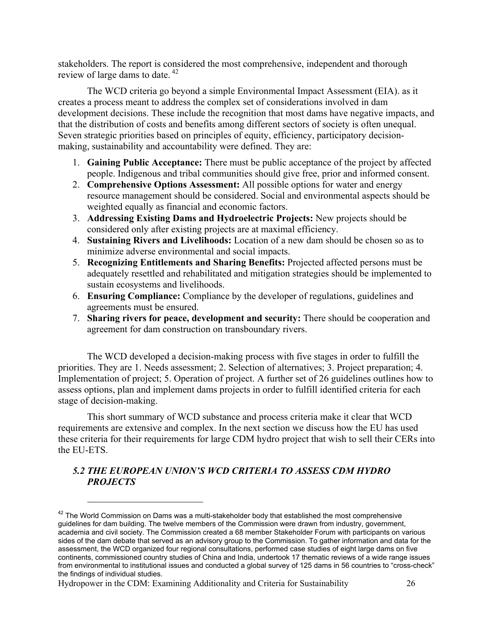stakeholders. The report is considered the most comprehensive, independent and thorough review of large dams to date. <sup>42</sup>

The WCD criteria go beyond a simple Environmental Impact Assessment (EIA). as it creates a process meant to address the complex set of considerations involved in dam development decisions. These include the recognition that most dams have negative impacts, and that the distribution of costs and benefits among different sectors of society is often unequal. Seven strategic priorities based on principles of equity, efficiency, participatory decisionmaking, sustainability and accountability were defined. They are:

- 1. **Gaining Public Acceptance:** There must be public acceptance of the project by affected people. Indigenous and tribal communities should give free, prior and informed consent.
- 2. **Comprehensive Options Assessment:** All possible options for water and energy resource management should be considered. Social and environmental aspects should be weighted equally as financial and economic factors.
- 3. **Addressing Existing Dams and Hydroelectric Projects:** New projects should be considered only after existing projects are at maximal efficiency.
- 4. **Sustaining Rivers and Livelihoods:** Location of a new dam should be chosen so as to minimize adverse environmental and social impacts.
- 5. **Recognizing Entitlements and Sharing Benefits:** Projected affected persons must be adequately resettled and rehabilitated and mitigation strategies should be implemented to sustain ecosystems and livelihoods.
- 6. **Ensuring Compliance:** Compliance by the developer of regulations, guidelines and agreements must be ensured.
- 7. **Sharing rivers for peace, development and security:** There should be cooperation and agreement for dam construction on transboundary rivers.

The WCD developed a decision-making process with five stages in order to fulfill the priorities. They are 1. Needs assessment; 2. Selection of alternatives; 3. Project preparation; 4. Implementation of project; 5. Operation of project. A further set of 26 guidelines outlines how to assess options, plan and implement dams projects in order to fulfill identified criteria for each stage of decision-making.

This short summary of WCD substance and process criteria make it clear that WCD requirements are extensive and complex. In the next section we discuss how the EU has used these criteria for their requirements for large CDM hydro project that wish to sell their CERs into the EU-ETS.

## *5.2 THE EUROPEAN UNION'S WCD CRITERIA TO ASSESS CDM HYDRO PROJECTS*

Hydropower in the CDM: Examining Additionality and Criteria for Sustainability 26

 $42$  The World Commission on Dams was a multi-stakeholder body that established the most comprehensive guidelines for dam building. The twelve members of the Commission were drawn from industry, government, academia and civil society. The Commission created a 68 member Stakeholder Forum with participants on various sides of the dam debate that served as an advisory group to the Commission. To gather information and data for the assessment, the WCD organized four regional consultations, performed case studies of eight large dams on five continents, commissioned country studies of China and India, undertook 17 thematic reviews of a wide range issues from environmental to institutional issues and conducted a global survey of 125 dams in 56 countries to "cross-check" the findings of individual studies.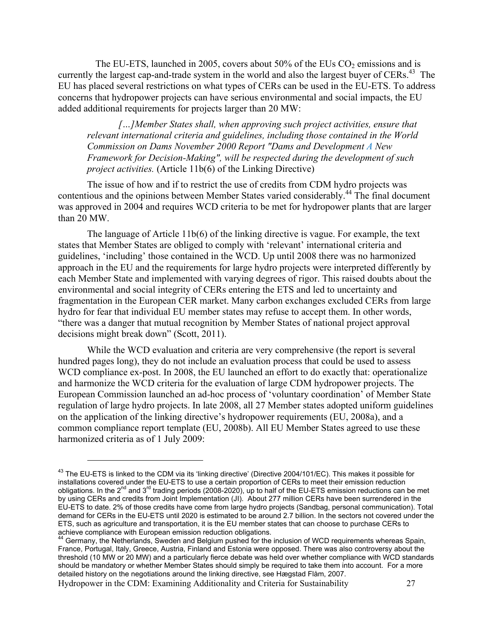The EU-ETS, launched in 2005, covers about 50% of the EUs  $CO<sub>2</sub>$  emissions and is currently the largest cap-and-trade system in the world and also the largest buyer of  $CERs$ <sup>43</sup>. The EU has placed several restrictions on what types of CERs can be used in the EU-ETS. To address concerns that hydropower projects can have serious environmental and social impacts, the EU added additional requirements for projects larger than 20 MW:

*[…]Member States shall, when approving such project activities, ensure that relevant international criteria and guidelines, including those contained in the World Commission on Dams November 2000 Report "Dams and Development A New Framework for Decision-Making", will be respected during the development of such project activities.* (Article 11b(6) of the Linking Directive)

The issue of how and if to restrict the use of credits from CDM hydro projects was contentious and the opinions between Member States varied considerably. 44 The final document was approved in 2004 and requires WCD criteria to be met for hydropower plants that are larger than 20 MW.

The language of Article 11b(6) of the linking directive is vague. For example, the text states that Member States are obliged to comply with 'relevant' international criteria and guidelines, 'including' those contained in the WCD. Up until 2008 there was no harmonized approach in the EU and the requirements for large hydro projects were interpreted differently by each Member State and implemented with varying degrees of rigor. This raised doubts about the environmental and social integrity of CERs entering the ETS and led to uncertainty and fragmentation in the European CER market. Many carbon exchanges excluded CERs from large hydro for fear that individual EU member states may refuse to accept them. In other words, "there was a danger that mutual recognition by Member States of national project approval decisions might break down" (Scott, 2011).

While the WCD evaluation and criteria are very comprehensive (the report is several hundred pages long), they do not include an evaluation process that could be used to assess WCD compliance ex-post. In 2008, the EU launched an effort to do exactly that: operationalize and harmonize the WCD criteria for the evaluation of large CDM hydropower projects. The European Commission launched an ad-hoc process of 'voluntary coordination' of Member State regulation of large hydro projects. In late 2008, all 27 Member states adopted uniform guidelines on the application of the linking directive's hydropower requirements (EU, 2008a), and a common compliance report template (EU, 2008b). All EU Member States agreed to use these harmonized criteria as of 1 July 2009:

Hydropower in the CDM: Examining Additionality and Criteria for Sustainability 27

<sup>&</sup>lt;sup>43</sup> The EU-ETS is linked to the CDM via its 'linking directive' (Directive 2004/101/EC). This makes it possible for installations covered under the EU-ETS to use a certain proportion of CERs to meet their emission reduction obligations. In the  $2^{nd}$  and  $3^{rd}$  trading periods (2008-2020), up to half of the EU-ETS emission reductions can be met by using CERs and credits from Joint Implementation (JI). About 277 million CERs have been surrendered in the EU-ETS to date. 2% of those credits have come from large hydro projects (Sandbag, personal communication). Total demand for CERs in the EU-ETS until 2020 is estimated to be around 2.7 billion. In the sectors not covered under the ETS, such as agriculture and transportation, it is the EU member states that can choose to purchase CERs to achieve compliance with European emission reduction obligations.<br>
<sup>44</sup> Germany, the Netherlands, Sweden and Belgium pushed for the inclusion of WCD requirements whereas Spain,

France, Portugal, Italy, Greece, Austria, Finland and Estonia were opposed. There was also controversy about the threshold (10 MW or 20 MW) and a particularly fierce debate was held over whether compliance with WCD standards should be mandatory or whether Member States should simply be required to take them into account. For a more detailed history on the negotiations around the linking directive, see Hægstad Flåm, 2007.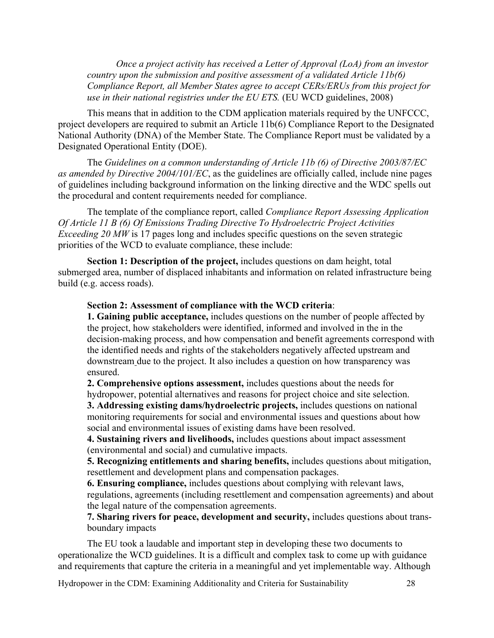*Once a project activity has received a Letter of Approval (LoA) from an investor country upon the submission and positive assessment of a validated Article 11b(6) Compliance Report, all Member States agree to accept CERs/ERUs from this project for use in their national registries under the EU ETS.* (EU WCD guidelines, 2008)

This means that in addition to the CDM application materials required by the UNFCCC, project developers are required to submit an Article 11b(6) Compliance Report to the Designated National Authority (DNA) of the Member State. The Compliance Report must be validated by a Designated Operational Entity (DOE).

The *Guidelines on a common understanding of Article 11b (6) of Directive 2003/87/EC as amended by Directive 2004/101/EC*, as the guidelines are officially called, include nine pages of guidelines including background information on the linking directive and the WDC spells out the procedural and content requirements needed for compliance.

The template of the compliance report, called *Compliance Report Assessing Application Of Article 11 B (6) Of Emissions Trading Directive To Hydroelectric Project Activities Exceeding 20 MW* is 17 pages long and includes specific questions on the seven strategic priorities of the WCD to evaluate compliance, these include:

**Section 1: Description of the project,** includes questions on dam height, total submerged area, number of displaced inhabitants and information on related infrastructure being build (e.g. access roads).

#### **Section 2: Assessment of compliance with the WCD criteria**:

**1. Gaining public acceptance,** includes questions on the number of people affected by the project, how stakeholders were identified, informed and involved in the in the decision-making process, and how compensation and benefit agreements correspond with the identified needs and rights of the stakeholders negatively affected upstream and downstream due to the project. It also includes a question on how transparency was ensured.

**2. Comprehensive options assessment,** includes questions about the needs for hydropower, potential alternatives and reasons for project choice and site selection. **3. Addressing existing dams/hydroelectric projects,** includes questions on national monitoring requirements for social and environmental issues and questions about how social and environmental issues of existing dams have been resolved.

**4. Sustaining rivers and livelihoods,** includes questions about impact assessment (environmental and social) and cumulative impacts.

**5. Recognizing entitlements and sharing benefits,** includes questions about mitigation, resettlement and development plans and compensation packages.

**6. Ensuring compliance,** includes questions about complying with relevant laws, regulations, agreements (including resettlement and compensation agreements) and about the legal nature of the compensation agreements.

**7. Sharing rivers for peace, development and security,** includes questions about transboundary impacts

The EU took a laudable and important step in developing these two documents to operationalize the WCD guidelines. It is a difficult and complex task to come up with guidance and requirements that capture the criteria in a meaningful and yet implementable way. Although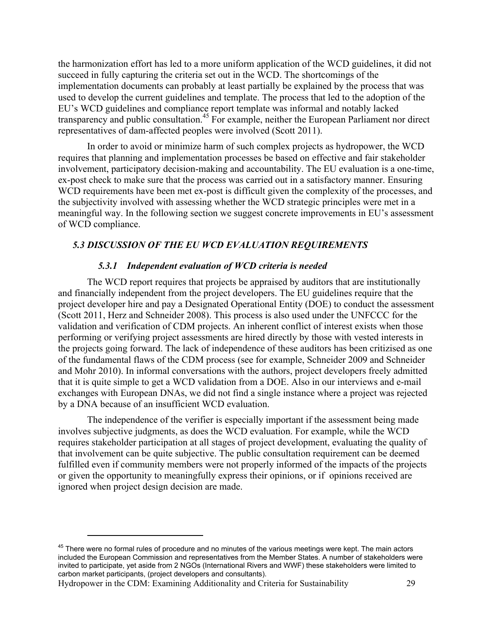the harmonization effort has led to a more uniform application of the WCD guidelines, it did not succeed in fully capturing the criteria set out in the WCD. The shortcomings of the implementation documents can probably at least partially be explained by the process that was used to develop the current guidelines and template. The process that led to the adoption of the EU's WCD guidelines and compliance report template was informal and notably lacked transparency and public consultation. <sup>45</sup> For example, neither the European Parliament nor direct representatives of dam-affected peoples were involved (Scott 2011).

In order to avoid or minimize harm of such complex projects as hydropower, the WCD requires that planning and implementation processes be based on effective and fair stakeholder involvement, participatory decision-making and accountability. The EU evaluation is a one-time, ex-post check to make sure that the process was carried out in a satisfactory manner. Ensuring WCD requirements have been met ex-post is difficult given the complexity of the processes, and the subjectivity involved with assessing whether the WCD strategic principles were met in a meaningful way. In the following section we suggest concrete improvements in EU's assessment of WCD compliance.

### *5.3 DISCUSSION OF THE EU WCD EVALUATION REQUIREMENTS*

#### *5.3.1 Independent evaluation of WCD criteria is needed*

The WCD report requires that projects be appraised by auditors that are institutionally and financially independent from the project developers. The EU guidelines require that the project developer hire and pay a Designated Operational Entity (DOE) to conduct the assessment (Scott 2011, Herz and Schneider 2008). This process is also used under the UNFCCC for the validation and verification of CDM projects. An inherent conflict of interest exists when those performing or verifying project assessments are hired directly by those with vested interests in the projects going forward. The lack of independence of these auditors has been critizised as one of the fundamental flaws of the CDM process (see for example, Schneider 2009 and Schneider and Mohr 2010). In informal conversations with the authors, project developers freely admitted that it is quite simple to get a WCD validation from a DOE. Also in our interviews and e-mail exchanges with European DNAs, we did not find a single instance where a project was rejected by a DNA because of an insufficient WCD evaluation.

The independence of the verifier is especially important if the assessment being made involves subjective judgments, as does the WCD evaluation. For example, while the WCD requires stakeholder participation at all stages of project development, evaluating the quality of that involvement can be quite subjective. The public consultation requirement can be deemed fulfilled even if community members were not properly informed of the impacts of the projects or given the opportunity to meaningfully express their opinions, or if opinions received are ignored when project design decision are made.

<sup>&</sup>lt;sup>45</sup> There were no formal rules of procedure and no minutes of the various meetings were kept. The main actors included the European Commission and representatives from the Member States. A number of stakeholders were invited to participate, yet aside from 2 NGOs (International Rivers and WWF) these stakeholders were limited to carbon market participants, (project developers and consultants).

Hydropower in the CDM: Examining Additionality and Criteria for Sustainability 29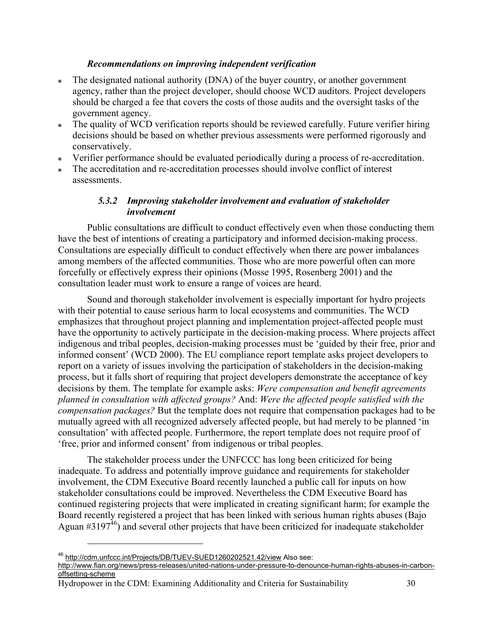## *Recommendations on improving independent verification*

- The designated national authority (DNA) of the buyer country, or another government agency, rather than the project developer, should choose WCD auditors. Project developers should be charged a fee that covers the costs of those audits and the oversight tasks of the government agency.
- The quality of WCD verification reports should be reviewed carefully. Future verifier hiring decisions should be based on whether previous assessments were performed rigorously and conservatively.
- Verifier performance should be evaluated periodically during a process of re-accreditation.
- The accreditation and re-accreditation processes should involve conflict of interest assessments.

## *5.3.2 Improving stakeholder involvement and evaluation of stakeholder involvement*

Public consultations are difficult to conduct effectively even when those conducting them have the best of intentions of creating a participatory and informed decision-making process. Consultations are especially difficult to conduct effectively when there are power imbalances among members of the affected communities. Those who are more powerful often can more forcefully or effectively express their opinions (Mosse 1995, Rosenberg 2001) and the consultation leader must work to ensure a range of voices are heard.

Sound and thorough stakeholder involvement is especially important for hydro projects with their potential to cause serious harm to local ecosystems and communities. The WCD emphasizes that throughout project planning and implementation project-affected people must have the opportunity to actively participate in the decision-making process. Where projects affect indigenous and tribal peoples, decision-making processes must be 'guided by their free, prior and informed consent' (WCD 2000). The EU compliance report template asks project developers to report on a variety of issues involving the participation of stakeholders in the decision-making process, but it falls short of requiring that project developers demonstrate the acceptance of key decisions by them. The template for example asks: *Were compensation and benefit agreements planned in consultation with affected groups?* And: *Were the affected people satisfied with the compensation packages?* But the template does not require that compensation packages had to be mutually agreed with all recognized adversely affected people, but had merely to be planned 'in consultation' with affected people. Furthermore, the report template does not require proof of 'free, prior and informed consent' from indigenous or tribal peoples.

The stakeholder process under the UNFCCC has long been criticized for being inadequate. To address and potentially improve guidance and requirements for stakeholder involvement, the CDM Executive Board recently launched a public call for inputs on how stakeholder consultations could be improved. Nevertheless the CDM Executive Board has continued registering projects that were implicated in creating significant harm; for example the Board recently registered a project that has been linked with serious human rights abuses (Bajo Aguan  $\#3197^{46}$ ) and several other projects that have been criticized for inadequate stakeholder

 $\overline{a}$ 

http://www.fian.org/news/press-releases/united-nations-under-pressure-to-denounce-human-rights-abuses-in-carbonoffsetting-scheme

<sup>46</sup> http://cdm.unfccc.int/Projects/DB/TUEV-SUED1260202521.42/view Also see: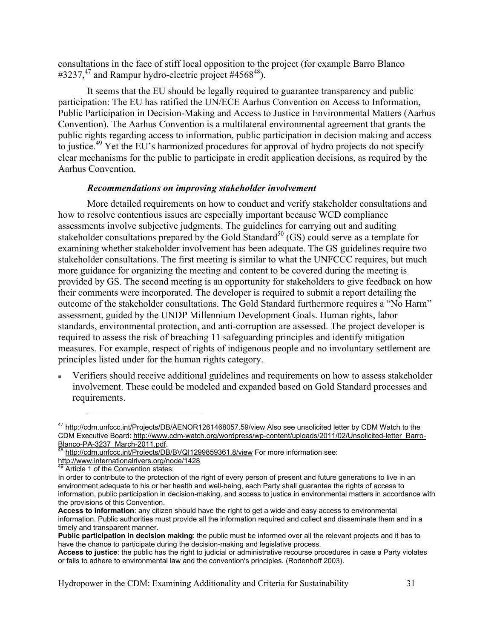consultations in the face of stiff local opposition to the project (for example Barro Blanco #3237,<sup>47</sup> and Rampur hydro-electric project #4568<sup>48</sup>).

It seems that the EU should be legally required to guarantee transparency and public participation: The EU has ratified the UN/ECE Aarhus Convention on Access to Information, Public Participation in Decision-Making and Access to Justice in Environmental Matters (Aarhus Convention). The Aarhus Convention is a multilateral environmental agreement that grants the public rights regarding access to information, public participation in decision making and access to justice.<sup>49</sup> Yet the EU's harmonized procedures for approval of hydro projects do not specify clear mechanisms for the public to participate in credit application decisions, as required by the Aarhus Convention.

#### *Recommendations on improving stakeholder involvement*

More detailed requirements on how to conduct and verify stakeholder consultations and how to resolve contentious issues are especially important because WCD compliance assessments involve subjective judgments. The guidelines for carrying out and auditing stakeholder consultations prepared by the Gold Standard<sup>50</sup> (GS) could serve as a template for examining whether stakeholder involvement has been adequate. The GS guidelines require two stakeholder consultations. The first meeting is similar to what the UNFCCC requires, but much more guidance for organizing the meeting and content to be covered during the meeting is provided by GS. The second meeting is an opportunity for stakeholders to give feedback on how their comments were incorporated. The developer is required to submit a report detailing the outcome of the stakeholder consultations. The Gold Standard furthermore requires a "No Harm" assessment, guided by the UNDP Millennium Development Goals. Human rights, labor standards, environmental protection, and anti-corruption are assessed. The project developer is required to assess the risk of breaching 11 safeguarding principles and identify mitigation measures. For example, respect of rights of indigenous people and no involuntary settlement are principles listed under for the human rights category.

 Verifiers should receive additional guidelines and requirements on how to assess stakeholder involvement. These could be modeled and expanded based on Gold Standard processes and requirements.

<sup>47</sup> http://cdm.unfccc.int/Projects/DB/AENOR1261468057.59/view Also see unsolicited letter by CDM Watch to the CDM Executive Board: http://www.cdm-watch.org/wordpress/wp-content/uploads/2011/02/Unsolicited-letter\_Barro-<br>Blanco-PA-3237 March-2011.pdf.

http://cdm.unfccc.int/Projects/DB/BVQI1299859361.8/view For more information see:

http://www.internationalrivers.org/node/1428

Article 1 of the Convention states:

In order to contribute to the protection of the right of every person of present and future generations to live in an environment adequate to his or her health and well-being, each Party shall guarantee the rights of access to information, public participation in decision-making, and access to justice in environmental matters in accordance with the provisions of this Convention.

**Access to information**: any citizen should have the right to get a wide and easy access to environmental information. Public authorities must provide all the information required and collect and disseminate them and in a timely and transparent manner.

**Public participation in decision making**: the public must be informed over all the relevant projects and it has to have the chance to participate during the decision-making and legislative process.

**Access to justice**: the public has the right to judicial or administrative recourse procedures in case a Party violates or fails to adhere to environmental law and the convention's principles. (Rodenhoff 2003).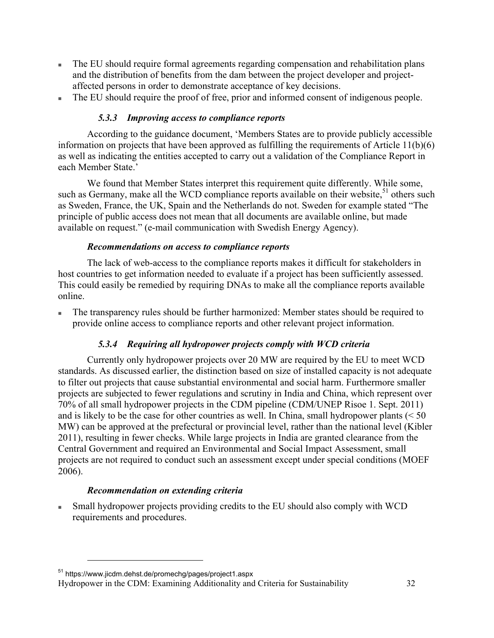- The EU should require formal agreements regarding compensation and rehabilitation plans and the distribution of benefits from the dam between the project developer and projectaffected persons in order to demonstrate acceptance of key decisions.
- The EU should require the proof of free, prior and informed consent of indigenous people.

## *5.3.3 Improving access to compliance reports*

According to the guidance document, 'Members States are to provide publicly accessible information on projects that have been approved as fulfilling the requirements of Article 11(b)(6) as well as indicating the entities accepted to carry out a validation of the Compliance Report in each Member State.'

We found that Member States interpret this requirement quite differently. While some, such as Germany, make all the WCD compliance reports available on their website,<sup>51</sup> others such as Sweden, France, the UK, Spain and the Netherlands do not. Sweden for example stated "The principle of public access does not mean that all documents are available online, but made available on request." (e-mail communication with Swedish Energy Agency).

## *Recommendations on access to compliance reports*

The lack of web-access to the compliance reports makes it difficult for stakeholders in host countries to get information needed to evaluate if a project has been sufficiently assessed. This could easily be remedied by requiring DNAs to make all the compliance reports available online.

 The transparency rules should be further harmonized: Member states should be required to provide online access to compliance reports and other relevant project information.

## *5.3.4 Requiring all hydropower projects comply with WCD criteria*

Currently only hydropower projects over 20 MW are required by the EU to meet WCD standards. As discussed earlier, the distinction based on size of installed capacity is not adequate to filter out projects that cause substantial environmental and social harm. Furthermore smaller projects are subjected to fewer regulations and scrutiny in India and China, which represent over 70% of all small hydropower projects in the CDM pipeline (CDM/UNEP Risoe 1. Sept. 2011) and is likely to be the case for other countries as well. In China, small hydropower plants  $(< 50$ MW) can be approved at the prefectural or provincial level, rather than the national level (Kibler 2011), resulting in fewer checks. While large projects in India are granted clearance from the Central Government and required an Environmental and Social Impact Assessment, small projects are not required to conduct such an assessment except under special conditions (MOEF 2006).

## *Recommendation on extending criteria*

 Small hydropower projects providing credits to the EU should also comply with WCD requirements and procedures.

<sup>51</sup> https://www.jicdm.dehst.de/promechg/pages/project1.aspx

Hydropower in the CDM: Examining Additionality and Criteria for Sustainability 32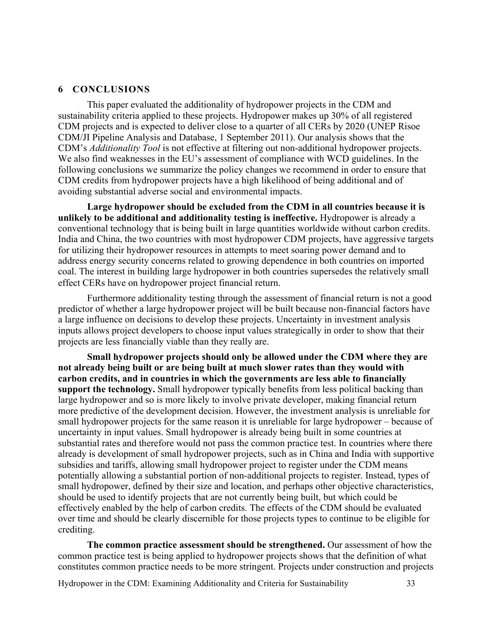#### **6 CONCLUSIONS**

This paper evaluated the additionality of hydropower projects in the CDM and sustainability criteria applied to these projects. Hydropower makes up 30% of all registered CDM projects and is expected to deliver close to a quarter of all CERs by 2020 (UNEP Risoe CDM/JI Pipeline Analysis and Database, 1 September 2011). Our analysis shows that the CDM's *Additionality Tool* is not effective at filtering out non-additional hydropower projects. We also find weaknesses in the EU's assessment of compliance with WCD guidelines. In the following conclusions we summarize the policy changes we recommend in order to ensure that CDM credits from hydropower projects have a high likelihood of being additional and of avoiding substantial adverse social and environmental impacts.

**Large hydropower should be excluded from the CDM in all countries because it is unlikely to be additional and additionality testing is ineffective.** Hydropower is already a conventional technology that is being built in large quantities worldwide without carbon credits. India and China, the two countries with most hydropower CDM projects, have aggressive targets for utilizing their hydropower resources in attempts to meet soaring power demand and to address energy security concerns related to growing dependence in both countries on imported coal. The interest in building large hydropower in both countries supersedes the relatively small effect CERs have on hydropower project financial return.

Furthermore additionality testing through the assessment of financial return is not a good predictor of whether a large hydropower project will be built because non-financial factors have a large influence on decisions to develop these projects. Uncertainty in investment analysis inputs allows project developers to choose input values strategically in order to show that their projects are less financially viable than they really are.

**Small hydropower projects should only be allowed under the CDM where they are not already being built or are being built at much slower rates than they would with carbon credits, and in countries in which the governments are less able to financially support the technology.** Small hydropower typically benefits from less political backing than large hydropower and so is more likely to involve private developer, making financial return more predictive of the development decision. However, the investment analysis is unreliable for small hydropower projects for the same reason it is unreliable for large hydropower – because of uncertainty in input values. Small hydropower is already being built in some countries at substantial rates and therefore would not pass the common practice test. In countries where there already is development of small hydropower projects, such as in China and India with supportive subsidies and tariffs, allowing small hydropower project to register under the CDM means potentially allowing a substantial portion of non-additional projects to register. Instead, types of small hydropower, defined by their size and location, and perhaps other objective characteristics, should be used to identify projects that are not currently being built, but which could be effectively enabled by the help of carbon credits. The effects of the CDM should be evaluated over time and should be clearly discernible for those projects types to continue to be eligible for crediting.

**The common practice assessment should be strengthened.** Our assessment of how the common practice test is being applied to hydropower projects shows that the definition of what constitutes common practice needs to be more stringent. Projects under construction and projects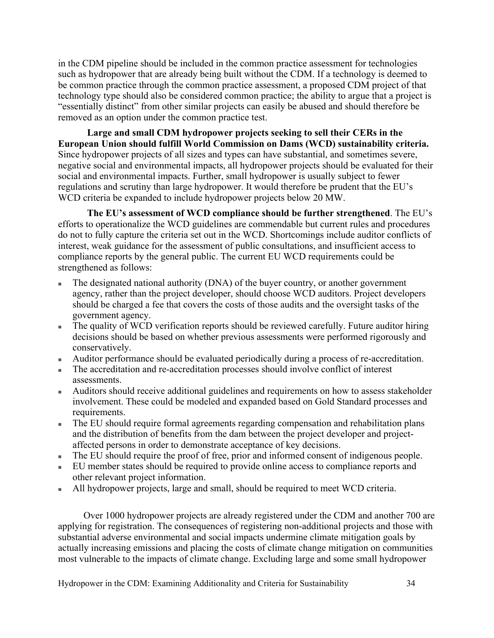in the CDM pipeline should be included in the common practice assessment for technologies such as hydropower that are already being built without the CDM. If a technology is deemed to be common practice through the common practice assessment, a proposed CDM project of that technology type should also be considered common practice; the ability to argue that a project is "essentially distinct" from other similar projects can easily be abused and should therefore be removed as an option under the common practice test.

**Large and small CDM hydropower projects seeking to sell their CERs in the European Union should fulfill World Commission on Dams (WCD) sustainability criteria.**  Since hydropower projects of all sizes and types can have substantial, and sometimes severe, negative social and environmental impacts, all hydropower projects should be evaluated for their social and environmental impacts. Further, small hydropower is usually subject to fewer regulations and scrutiny than large hydropower. It would therefore be prudent that the EU's WCD criteria be expanded to include hydropower projects below 20 MW.

**The EU's assessment of WCD compliance should be further strengthened**. The EU's efforts to operationalize the WCD guidelines are commendable but current rules and procedures do not to fully capture the criteria set out in the WCD. Shortcomings include auditor conflicts of interest, weak guidance for the assessment of public consultations, and insufficient access to compliance reports by the general public. The current EU WCD requirements could be strengthened as follows:

- The designated national authority (DNA) of the buyer country, or another government agency, rather than the project developer, should choose WCD auditors. Project developers should be charged a fee that covers the costs of those audits and the oversight tasks of the government agency.
- The quality of WCD verification reports should be reviewed carefully. Future auditor hiring decisions should be based on whether previous assessments were performed rigorously and conservatively.
- Auditor performance should be evaluated periodically during a process of re-accreditation.
- The accreditation and re-accreditation processes should involve conflict of interest assessments.
- Auditors should receive additional guidelines and requirements on how to assess stakeholder involvement. These could be modeled and expanded based on Gold Standard processes and requirements.
- The EU should require formal agreements regarding compensation and rehabilitation plans and the distribution of benefits from the dam between the project developer and projectaffected persons in order to demonstrate acceptance of key decisions.
- The EU should require the proof of free, prior and informed consent of indigenous people.
- EU member states should be required to provide online access to compliance reports and other relevant project information.
- All hydropower projects, large and small, should be required to meet WCD criteria.

Over 1000 hydropower projects are already registered under the CDM and another 700 are applying for registration. The consequences of registering non-additional projects and those with substantial adverse environmental and social impacts undermine climate mitigation goals by actually increasing emissions and placing the costs of climate change mitigation on communities most vulnerable to the impacts of climate change. Excluding large and some small hydropower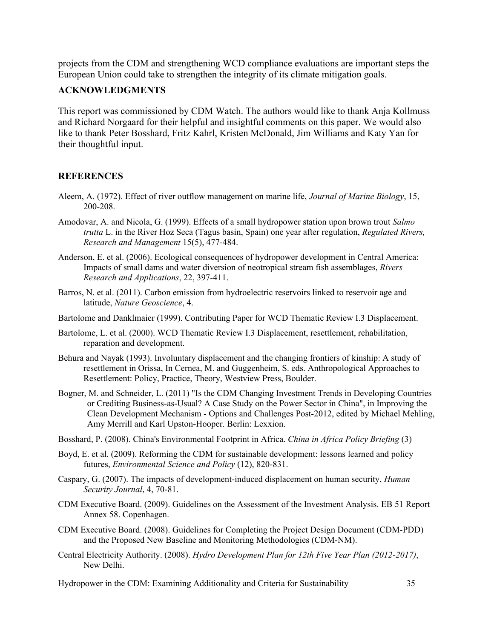projects from the CDM and strengthening WCD compliance evaluations are important steps the European Union could take to strengthen the integrity of its climate mitigation goals.

#### **ACKNOWLEDGMENTS**

This report was commissioned by CDM Watch. The authors would like to thank Anja Kollmuss and Richard Norgaard for their helpful and insightful comments on this paper. We would also like to thank Peter Bosshard, Fritz Kahrl, Kristen McDonald, Jim Williams and Katy Yan for their thoughtful input.

#### **REFERENCES**

- Aleem, A. (1972). Effect of river outflow management on marine life, *Journal of Marine Biology*, 15, 200-208.
- Amodovar, A. and Nicola, G. (1999). Effects of a small hydropower station upon brown trout *Salmo trutta* L. in the River Hoz Seca (Tagus basin, Spain) one year after regulation, *Regulated Rivers, Research and Management* 15(5), 477-484.
- Anderson, E. et al. (2006). Ecological consequences of hydropower development in Central America: Impacts of small dams and water diversion of neotropical stream fish assemblages, *Rivers Research and Applications*, 22, 397-411.
- Barros, N. et al. (2011). Carbon emission from hydroelectric reservoirs linked to reservoir age and latitude, *Nature Geoscience*, 4.

Bartolome and Danklmaier (1999). Contributing Paper for WCD Thematic Review I.3 Displacement.

- Bartolome, L. et al. (2000). WCD Thematic Review I.3 Displacement, resettlement, rehabilitation, reparation and development.
- Behura and Nayak (1993). Involuntary displacement and the changing frontiers of kinship: A study of resettlement in Orissa, In Cernea, M. and Guggenheim, S. eds. Anthropological Approaches to Resettlement: Policy, Practice, Theory, Westview Press, Boulder.
- Bogner, M. and Schneider, L. (2011) "Is the CDM Changing Investment Trends in Developing Countries or Crediting Business-as-Usual? A Case Study on the Power Sector in China", in Improving the Clean Development Mechanism - Options and Challenges Post-2012, edited by Michael Mehling, Amy Merrill and Karl Upston-Hooper. Berlin: Lexxion.
- Bosshard, P. (2008). China's Environmental Footprint in Africa. *China in Africa Policy Briefing* (3)
- Boyd, E. et al. (2009). Reforming the CDM for sustainable development: lessons learned and policy futures, *Environmental Science and Policy* (12), 820-831.
- Caspary, G. (2007). The impacts of development-induced displacement on human security, *Human Security Journal*, 4, 70-81.
- CDM Executive Board. (2009). Guidelines on the Assessment of the Investment Analysis. EB 51 Report Annex 58. Copenhagen.
- CDM Executive Board. (2008). Guidelines for Completing the Project Design Document (CDM-PDD) and the Proposed New Baseline and Monitoring Methodologies (CDM-NM).
- Central Electricity Authority. (2008). *Hydro Development Plan for 12th Five Year Plan (2012-2017)*, New Delhi.
- Hydropower in the CDM: Examining Additionality and Criteria for Sustainability 35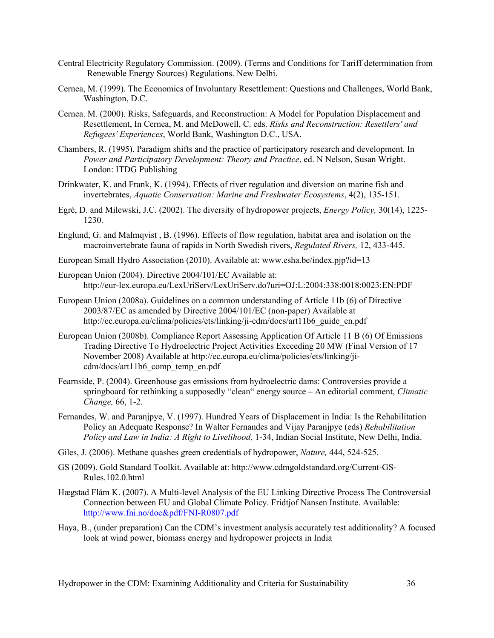- Central Electricity Regulatory Commission. (2009). (Terms and Conditions for Tariff determination from Renewable Energy Sources) Regulations. New Delhi.
- Cernea, M. (1999). The Economics of Involuntary Resettlement: Questions and Challenges, World Bank, Washington, D.C.
- Cernea. M. (2000). Risks, Safeguards, and Reconstruction: A Model for Population Displacement and Resettlement, In Cernea, M. and McDowell, C. eds. *Risks and Reconstruction: Resettlers' and Refugees' Experiences*, World Bank, Washington D.C., USA.
- Chambers, R. (1995). Paradigm shifts and the practice of participatory research and development. In *Power and Participatory Development: Theory and Practice*, ed. N Nelson, Susan Wright. London: ITDG Publishing
- Drinkwater, K. and Frank, K. (1994). Effects of river regulation and diversion on marine fish and invertebrates, *Aquatic Conservation: Marine and Freshwater Ecosystems*, 4(2), 135-151.
- Egré, D. and Milewski, J.C. (2002). The diversity of hydropower projects, *Energy Policy,* 30(14), 1225- 1230.
- Englund, G. and Malmqvist , B. (1996). Effects of flow regulation, habitat area and isolation on the macroinvertebrate fauna of rapids in North Swedish rivers, *Regulated Rivers,* 12, 433-445.
- European Small Hydro Association (2010). Available at: www.esha.be/index.pjp?id=13
- European Union (2004). Directive 2004/101/EC Available at: http://eur-lex.europa.eu/LexUriServ/LexUriServ.do?uri=OJ:L:2004:338:0018:0023:EN:PDF
- European Union (2008a). Guidelines on a common understanding of Article 11b (6) of Directive 2003/87/EC as amended by Directive 2004/101/EC (non-paper) Available at http://ec.europa.eu/clima/policies/ets/linking/ji-cdm/docs/art11b6\_guide\_en.pdf
- European Union (2008b). Compliance Report Assessing Application Of Article 11 B (6) Of Emissions Trading Directive To Hydroelectric Project Activities Exceeding 20 MW (Final Version of 17 November 2008) Available at http://ec.europa.eu/clima/policies/ets/linking/jicdm/docs/art11b6\_comp\_temp\_en.pdf
- Fearnside, P. (2004). Greenhouse gas emissions from hydroelectric dams: Controversies provide a springboard for rethinking a supposedly "clean" energy source – An editorial comment, *Climatic Change,* 66, 1-2.
- Fernandes, W. and Paranjpye, V. (1997). Hundred Years of Displacement in India: Is the Rehabilitation Policy an Adequate Response? In Walter Fernandes and Vijay Paranjpye (eds) *Rehabilitation Policy and Law in India: A Right to Livelihood,* 1-34, Indian Social Institute, New Delhi, India.
- Giles, J. (2006). Methane quashes green credentials of hydropower, *Nature,* 444, 524-525.
- GS (2009). Gold Standard Toolkit. Available at: http://www.cdmgoldstandard.org/Current-GS-Rules.102.0.html
- Hægstad Flåm K. (2007). A Multi-level Analysis of the EU Linking Directive Process The Controversial Connection between EU and Global Climate Policy. Fridtjof Nansen Institute. Available: http://www.fni.no/doc&pdf/FNI-R0807.pdf
- Haya, B., (under preparation) Can the CDM's investment analysis accurately test additionality? A focused look at wind power, biomass energy and hydropower projects in India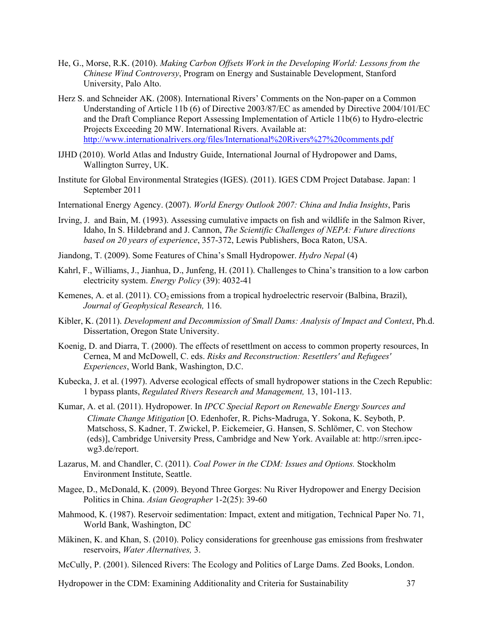- He, G., Morse, R.K. (2010). *Making Carbon Offsets Work in the Developing World: Lessons from the Chinese Wind Controversy*, Program on Energy and Sustainable Development, Stanford University, Palo Alto.
- Herz S. and Schneider AK. (2008). International Rivers' Comments on the Non-paper on a Common Understanding of Article 11b (6) of Directive 2003/87/EC as amended by Directive 2004/101/EC and the Draft Compliance Report Assessing Implementation of Article 11b(6) to Hydro-electric Projects Exceeding 20 MW. International Rivers. Available at: http://www.internationalrivers.org/files/International%20Rivers%27%20comments.pdf
- IJHD (2010). World Atlas and Industry Guide, International Journal of Hydropower and Dams, Wallington Surrey, UK.
- Institute for Global Environmental Strategies (IGES). (2011). IGES CDM Project Database. Japan: 1 September 2011
- International Energy Agency. (2007). *World Energy Outlook 2007: China and India Insights*, Paris
- Irving, J. and Bain, M. (1993). Assessing cumulative impacts on fish and wildlife in the Salmon River, Idaho, In S. Hildebrand and J. Cannon, *The Scientific Challenges of NEPA: Future directions based on 20 years of experience*, 357-372, Lewis Publishers, Boca Raton, USA.
- Jiandong, T. (2009). Some Features of China's Small Hydropower. *Hydro Nepal* (4)
- Kahrl, F., Williams, J., Jianhua, D., Junfeng, H. (2011). Challenges to China's transition to a low carbon electricity system. *Energy Policy* (39): 4032-41
- Kemenes, A. et al. (2011).  $CO<sub>2</sub>$  emissions from a tropical hydroelectric reservoir (Balbina, Brazil), *Journal of Geophysical Research,* 116.
- Kibler, K. (2011). *Development and Decommission of Small Dams: Analysis of Impact and Context*, Ph.d. Dissertation, Oregon State University.
- Koenig, D. and Diarra, T. (2000). The effects of resettlment on access to common property resources, In Cernea, M and McDowell, C. eds. *Risks and Reconstruction: Resettlers' and Refugees' Experiences*, World Bank, Washington, D.C.
- Kubecka, J. et al. (1997). Adverse ecological effects of small hydropower stations in the Czech Republic: 1 bypass plants, *Regulated Rivers Research and Management,* 13, 101-113.
- Kumar, A. et al. (2011). Hydropower. In *IPCC Special Report on Renewable Energy Sources and Climate Change Mitigation* [O. Edenhofer, R. Pichs‐Madruga, Y. Sokona, K. Seyboth, P. Matschoss, S. Kadner, T. Zwickel, P. Eickemeier, G. Hansen, S. Schlömer, C. von Stechow (eds)], Cambridge University Press, Cambridge and New York. Available at: http://srren.ipccwg3.de/report.
- Lazarus, M. and Chandler, C. (2011). *Coal Power in the CDM: Issues and Options.* Stockholm Environment Institute, Seattle.
- Magee, D., McDonald, K. (2009). Beyond Three Gorges: Nu River Hydropower and Energy Decision Politics in China. *Asian Geographer* 1-2(25): 39-60
- Mahmood, K. (1987). Reservoir sedimentation: Impact, extent and mitigation, Technical Paper No. 71, World Bank, Washington, DC
- Mäkinen, K. and Khan, S. (2010). Policy considerations for greenhouse gas emissions from freshwater reservoirs, *Water Alternatives,* 3.
- McCully, P. (2001). Silenced Rivers: The Ecology and Politics of Large Dams. Zed Books, London.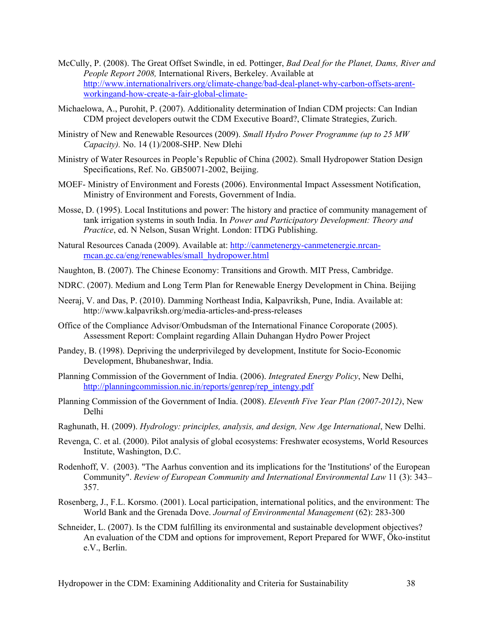- McCully, P. (2008). The Great Offset Swindle, in ed. Pottinger, *Bad Deal for the Planet, Dams, River and People Report 2008,* International Rivers, Berkeley. Available at http://www.internationalrivers.org/climate-change/bad-deal-planet-why-carbon-offsets-arentworkingand-how-create-a-fair-global-climate-
- Michaelowa, A., Purohit, P. (2007). Additionality determination of Indian CDM projects: Can Indian CDM project developers outwit the CDM Executive Board?, Climate Strategies, Zurich.
- Ministry of New and Renewable Resources (2009). *Small Hydro Power Programme (up to 25 MW Capacity).* No. 14 (1)/2008-SHP. New Dlehi
- Ministry of Water Resources in People's Republic of China (2002). Small Hydropower Station Design Specifications, Ref. No. GB50071-2002, Beijing.
- MOEF- Ministry of Environment and Forests (2006). Environmental Impact Assessment Notification, Ministry of Environment and Forests, Government of India.
- Mosse, D. (1995). Local Institutions and power: The history and practice of community management of tank irrigation systems in south India. In *Power and Participatory Development: Theory and Practice*, ed. N Nelson, Susan Wright. London: ITDG Publishing.
- Natural Resources Canada (2009). Available at: http://canmetenergy-canmetenergie.nrcanrncan.gc.ca/eng/renewables/small\_hydropower.html
- Naughton, B. (2007). The Chinese Economy: Transitions and Growth. MIT Press, Cambridge.
- NDRC. (2007). Medium and Long Term Plan for Renewable Energy Development in China. Beijing
- Neeraj, V. and Das, P. (2010). Damming Northeast India, Kalpavriksh, Pune, India. Available at: http://www.kalpavriksh.org/media-articles-and-press-releases
- Office of the Compliance Advisor/Ombudsman of the International Finance Coroporate (2005). Assessment Report: Complaint regarding Allain Duhangan Hydro Power Project
- Pandey, B. (1998). Depriving the underprivileged by development, Institute for Socio-Economic Development, Bhubaneshwar, India.
- Planning Commission of the Government of India. (2006). *Integrated Energy Policy*, New Delhi, http://planningcommission.nic.in/reports/genrep/rep\_intengy.pdf
- Planning Commission of the Government of India. (2008). *Eleventh Five Year Plan (2007-2012)*, New Delhi
- Raghunath, H. (2009). *Hydrology: principles, analysis, and design, New Age International*, New Delhi.
- Revenga, C. et al. (2000). Pilot analysis of global ecosystems: Freshwater ecosystems, World Resources Institute, Washington, D.C.
- Rodenhoff, V. (2003). "The Aarhus convention and its implications for the 'Institutions' of the European Community". *Review of European Community and International Environmental Law* 11 (3): 343– 357.
- Rosenberg, J., F.L. Korsmo. (2001). Local participation, international politics, and the environment: The World Bank and the Grenada Dove. *Journal of Environmental Management* (62): 283-300
- Schneider, L. (2007). Is the CDM fulfilling its environmental and sustainable development objectives? An evaluation of the CDM and options for improvement, Report Prepared for WWF, Öko-institut e.V., Berlin.